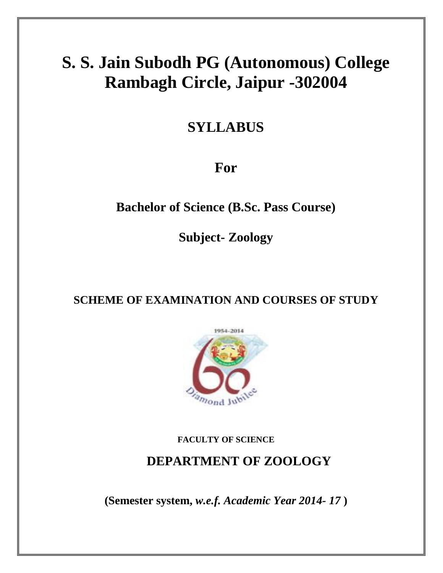# **S. S. Jain Subodh PG (Autonomous) College Rambagh Circle, Jaipur -302004**

# **SYLLABUS**

# **For**

## **Bachelor of Science (B.Sc. Pass Course)**

**Subject- Zoology**

## **SCHEME OF EXAMINATION AND COURSES OF STUDY**



### **FACULTY OF SCIENCE**

## **DEPARTMENT OF ZOOLOGY**

**(Semester system,** *w.e.f. Academic Year 2014- 17* **)**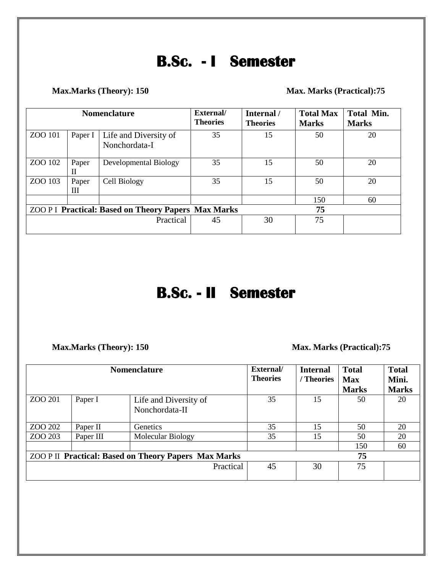# **B.Sc. - I Semester**

### Max. Marks (Theory): 150 Max. Marks (Practical): 75

| <b>Nomenclature</b>                                       |            |                                        | External/<br><b>Theories</b> | Internal /<br><b>Theories</b> | <b>Total Max</b><br><b>Marks</b> | Total Min.<br><b>Marks</b> |
|-----------------------------------------------------------|------------|----------------------------------------|------------------------------|-------------------------------|----------------------------------|----------------------------|
| ZOO 101                                                   | Paper I    | Life and Diversity of<br>Nonchordata-I | 35                           | 15                            | 50                               | 20                         |
| ZOO 102                                                   | Paper<br>П | Developmental Biology                  | 35                           | 15                            | 50                               | 20                         |
| ZOO 103                                                   | Paper<br>Ш | Cell Biology                           | 35                           | 15                            | 50                               | 20                         |
|                                                           |            |                                        |                              |                               | 150                              | 60                         |
| <b>ZOO PI Practical: Based on Theory Papers Max Marks</b> |            |                                        |                              |                               | 75                               |                            |
| Practical                                                 |            |                                        | 45                           | 30                            | 75                               |                            |

# **B.Sc. - II Semester**

**Max.Marks (Theory): 150 Max.Marks (Practical):75** 

| <b>Nomenclature</b>                                         |           |                                         | External/<br><b>Theories</b> | <b>Internal</b><br>/ Theories | <b>Total</b><br><b>Max</b><br><b>Marks</b> | <b>Total</b><br>Mini.<br><b>Marks</b> |
|-------------------------------------------------------------|-----------|-----------------------------------------|------------------------------|-------------------------------|--------------------------------------------|---------------------------------------|
| ZOO 201                                                     | Paper I   | Life and Diversity of<br>Nonchordata-II | 35                           | 15                            | 50                                         | 20                                    |
| ZOO 202                                                     | Paper II  | <b>Genetics</b>                         | 35                           | 15                            | 50                                         | 20                                    |
| ZOO 203                                                     | Paper III | <b>Molecular Biology</b>                | 35                           | 15                            | 50                                         | 20                                    |
|                                                             |           |                                         |                              |                               | 150                                        | 60                                    |
| <b>ZOO P II Practical: Based on Theory Papers Max Marks</b> |           |                                         |                              |                               | 75                                         |                                       |
|                                                             |           | Practical                               | 45                           | 30                            | 75                                         |                                       |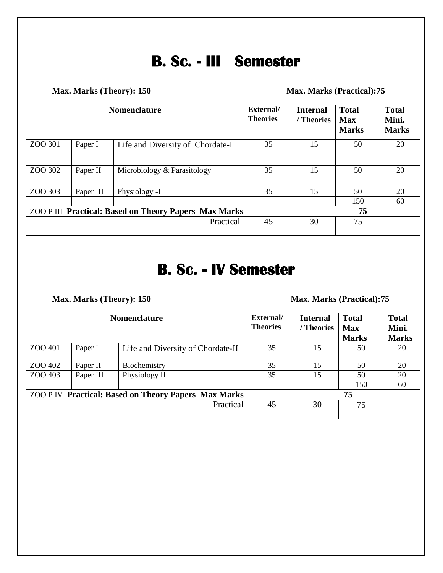# **B. Sc. - III Semester**

**Max. Marks (Theory): 150 Max. Marks (Practical):75** 

| <b>Nomenclature</b>                                   |           |                                  | External/<br><b>Theories</b> | <b>Internal</b><br>/ Theories | <b>Total</b><br><b>Max</b><br><b>Marks</b> | <b>Total</b><br>Mini.<br><b>Marks</b> |
|-------------------------------------------------------|-----------|----------------------------------|------------------------------|-------------------------------|--------------------------------------------|---------------------------------------|
| ZOO 301                                               | Paper I   | Life and Diversity of Chordate-I | 35                           | 15                            | 50                                         | 20                                    |
| ZOO 302                                               | Paper II  | Microbiology & Parasitology      | 35                           | 15                            | 50                                         | 20                                    |
| ZOO 303                                               | Paper III | Physiology -I                    | 35                           | 15                            | 50                                         | 20                                    |
|                                                       |           |                                  |                              |                               | 150                                        | 60                                    |
| ZOO P III Practical: Based on Theory Papers Max Marks |           |                                  |                              |                               | 75                                         |                                       |
|                                                       |           | Practical                        | 45                           | 30                            | 75                                         |                                       |

# **B. Sc. - IV Semester**

### **Max. Marks (Theory): 150 Max. Marks (Practical):75**

| <b>Nomenclature</b>                                         |           |                                   | External/<br><b>Theories</b> | <b>Internal</b><br>Theories | <b>Total</b><br><b>Max</b><br><b>Marks</b> | <b>Total</b><br>Mini.<br><b>Marks</b> |
|-------------------------------------------------------------|-----------|-----------------------------------|------------------------------|-----------------------------|--------------------------------------------|---------------------------------------|
| ZOO 401                                                     | Paper I   | Life and Diversity of Chordate-II | 35                           | 15                          | 50                                         | 20                                    |
| ZOO 402                                                     | Paper II  | Biochemistry                      | 35                           | 15                          | 50                                         | 20                                    |
| ZOO 403                                                     | Paper III | Physiology II                     | 35                           | 15                          | 50                                         | 20                                    |
|                                                             |           |                                   |                              |                             | 150                                        | 60                                    |
| <b>ZOO P IV Practical: Based on Theory Papers Max Marks</b> |           |                                   |                              |                             | 75                                         |                                       |
|                                                             |           | Practical                         | 45                           | 30                          | 75                                         |                                       |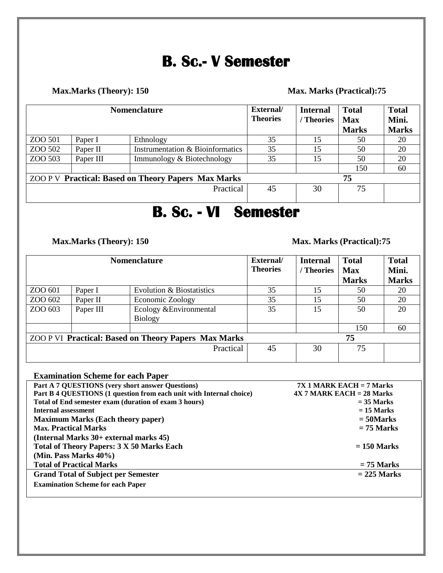# **B. Sc.- V Semester**

#### Max. Marks (Theory): 150 Max. Marks (Practical):75

| <b>Nomenclature</b>                                        |           |                                             | External/<br><b>Theories</b> | <b>Internal</b><br>/ Theories | <b>Total</b><br><b>Max</b><br><b>Marks</b> | <b>Total</b><br>Mini.<br><b>Marks</b> |
|------------------------------------------------------------|-----------|---------------------------------------------|------------------------------|-------------------------------|--------------------------------------------|---------------------------------------|
| ZOO 501                                                    | Paper I   | Ethnology                                   | 35                           | 15                            | 50                                         | 20                                    |
| ZOO 502                                                    | Paper II  | <b>Instrumentation &amp; Bioinformatics</b> | 35                           | 15                            | 50                                         | 20                                    |
| ZOO 503                                                    | Paper III | Immunology & Biotechnology                  | 35                           | 15                            | 50                                         | 20                                    |
|                                                            |           |                                             |                              |                               | 150                                        | 60                                    |
| <b>ZOO P V Practical: Based on Theory Papers Max Marks</b> |           |                                             |                              |                               | 75                                         |                                       |
| Practical                                                  |           |                                             | 45                           | 30                            | 75                                         |                                       |

# **B. Sc. - VI Semester**

**Max.Marks (Theory): 150 Max. Marks (Practical):75** 

| <b>Nomenclature</b>                                         |           |                                    | External/<br><b>Theories</b> | <b>Internal</b><br>/ Theories | <b>Total</b><br><b>Max</b><br><b>Marks</b> | <b>Total</b><br>Mini.<br><b>Marks</b> |
|-------------------------------------------------------------|-----------|------------------------------------|------------------------------|-------------------------------|--------------------------------------------|---------------------------------------|
| ZOO 601                                                     | Paper I   | Evolution & Biostatistics          | 35                           | 15                            | 50                                         | 20                                    |
| ZOO 602                                                     | Paper II  | Economic Zoology                   | 35                           | 15                            | 50                                         | 20                                    |
| ZOO 603                                                     | Paper III | Ecology & Environmental<br>Biology | 35                           | 15                            | 50                                         | 20                                    |
|                                                             |           |                                    |                              |                               | 150                                        | 60                                    |
| <b>ZOO P VI Practical: Based on Theory Papers Max Marks</b> |           |                                    |                              |                               | 75                                         |                                       |
|                                                             |           | Practical                          | 45                           | 30                            | 75                                         |                                       |

### **Examination Scheme for each Paper**

| Part A 7 QUESTIONS (very short answer Questions)                    | $7X1$ MARK EACH = 7 Marks   |
|---------------------------------------------------------------------|-----------------------------|
| Part B 4 QUESTIONS (1 question from each unit with Internal choice) | $4X$ 7 MARK EACH = 28 Marks |
| Total of End semester exam (duration of exam 3 hours)               | $=$ 35 Marks                |
| <b>Internal assessment</b>                                          | $= 15$ Marks                |
| <b>Maximum Marks (Each theory paper)</b>                            | $=$ 50Marks                 |
| <b>Max. Practical Marks</b>                                         | $= 75$ Marks                |
| (Internal Marks 30+ external marks 45)                              |                             |
| Total of Theory Papers: 3 X 50 Marks Each                           | $= 150$ Marks               |
| (Min. Pass Marks 40%)                                               |                             |
| <b>Total of Practical Marks</b>                                     | $= 75$ Marks                |
| <b>Grand Total of Subject per Semester</b>                          | $= 225$ Marks               |
| <b>Examination Scheme for each Paper</b>                            |                             |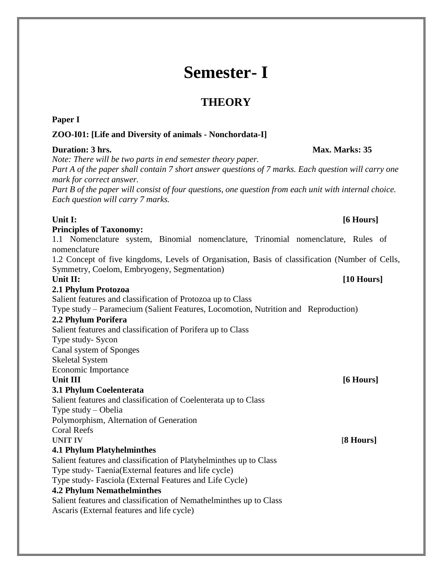# **Semester- I**

## **THEORY**

### **Paper I**

### **ZOO-I01: [Life and Diversity of animals - Nonchordata-I]**

### **Duration: 3 hrs. Max. Marks: 35**

*Note: There will be two parts in end semester theory paper.*

*Part A of the paper shall contain 7 short answer questions of 7 marks. Each question will carry one mark for correct answer.*

*Part B of the paper will consist of four questions, one question from each unit with internal choice. Each question will carry 7 marks.*

### **Unit I: [6 Hours]**

### **Principles of Taxonomy:**

1.1 Nomenclature system, Binomial nomenclature, Trinomial nomenclature, Rules of nomenclature

1.2 Concept of five kingdoms, Levels of Organisation, Basis of classification (Number of Cells, Symmetry, Coelom, Embryogeny, Segmentation)

### **2.1 Phylum Protozoa**

Salient features and classification of Protozoa up to Class

Type study – Paramecium (Salient Features, Locomotion, Nutrition and Reproduction) **2.2 Phylum Porifera** 

#### Salient features and classification of Porifera up to Class Type study- Sycon

Canal system of Sponges

Skeletal System

Economic Importance

### **3.1 Phylum Coelenterata**

Salient features and classification of Coelenterata up to Class

Type study – Obelia

Polymorphism, Alternation of Generation

## Coral Reefs

**UNIT IV [8 Hours]**

### **4.1 Phylum Platyhelminthes**

Salient features and classification of Platyhelminthes up to Class Type study- Taenia(External features and life cycle) Type study- Fasciola (External Features and Life Cycle)

### **4.2 Phylum Nemathelminthes**

Salient features and classification of Nemathelminthes up to Class Ascaris (External features and life cycle)

### Unit II: [10 **Hours]**

### Unit III [6<sup>*Hours]*</sup>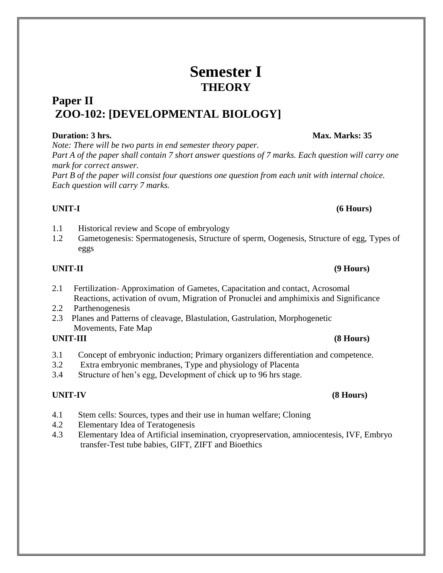# **Semester I THEORY**

## **Paper II ZOO-102: [DEVELOPMENTAL BIOLOGY]**

### **Duration: 3 hrs. Max. Marks: 35**

*Note: There will be two parts in end semester theory paper.*

*Part A of the paper shall contain 7 short answer questions of 7 marks. Each question will carry one mark for correct answer.*

*Part B of the paper will consist four questions one question from each unit with internal choice. Each question will carry 7 marks.*

### **UNIT-I (6 Hours)**

- 1.1 Historical review and Scope of embryology
- 1.2 Gametogenesis: Spermatogenesis, Structure of sperm, Oogenesis, Structure of egg, Types of eggs

- 2.1 Fertilization- Approximation of Gametes, Capacitation and contact, Acrosomal Reactions, activation of ovum, Migration of Pronuclei and amphimixis and Significance
- 2.2 Parthenogenesis
- 2.3 Planes and Patterns of cleavage, Blastulation, Gastrulation, Morphogenetic Movements, Fate Map

### **UNIT-III (8 Hours)**

- 3.1 Concept of embryonic induction; Primary organizers differentiation and competence.
- 3.2 Extra embryonic membranes, Type and physiology of Placenta
- 3.4 Structure of hen's egg, Development of chick up to 96 hrs stage.

### **UNIT-IV (8 Hours)**

- 4.1 Stem cells: Sources, types and their use in human welfare; Cloning
- 4.2 Elementary Idea of Teratogenesis
- 4.3 Elementary Idea of Artificial insemination, cryopreservation, amniocentesis, IVF, Embryo transfer-Test tube babies, GIFT, ZIFT and Bioethics

### **UNIT-II (9 Hours)**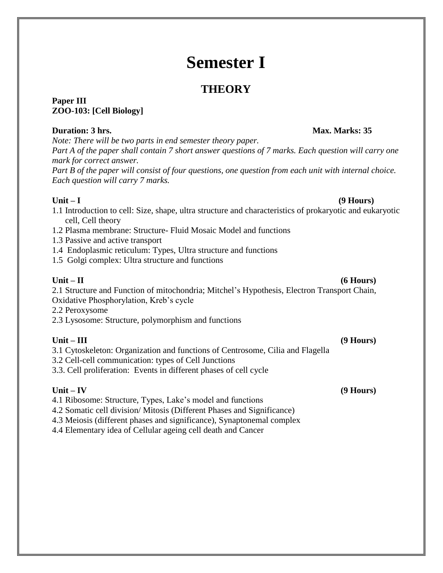# **Semester I**

## **THEORY**

#### **Paper III ZOO-103: [Cell Biology]**

### **Duration: 3 hrs. Max. Marks: 35**

*Note: There will be two parts in end semester theory paper. Part A of the paper shall contain 7 short answer questions of 7 marks. Each question will carry one mark for correct answer.*

*Part B of the paper will consist of four questions, one question from each unit with internal choice. Each question will carry 7 marks.*

#### **Unit – I (9 Hours)**

- 1.1 Introduction to cell: Size, shape, ultra structure and characteristics of prokaryotic and eukaryotic cell, Cell theory
- 1.2 Plasma membrane: Structure- Fluid Mosaic Model and functions
- 1.3 Passive and active transport
- 1.4 Endoplasmic reticulum: Types, Ultra structure and functions
- 1.5 Golgi complex: Ultra structure and functions

**Unit – II (6 Hours)**

2.1 Structure and Function of mitochondria; Mitchel's Hypothesis, Electron Transport Chain, Oxidative Phosphorylation, Kreb's cycle

2.2 Peroxysome

2.3 Lysosome: Structure, polymorphism and functions

### **Unit – III (9 Hours)**

3.1 Cytoskeleton: Organization and functions of Centrosome, Cilia and Flagella

3.2 Cell-cell communication: types of Cell Junctions

3.3. Cell proliferation: Events in different phases of cell cycle

**Unit – IV (9 Hours)** 4.1 Ribosome: Structure, Types, Lake's model and functions

4.2 Somatic cell division/ Mitosis (Different Phases and Significance)

4.3 Meiosis (different phases and significance), Synaptonemal complex

4.4 Elementary idea of Cellular ageing cell death and Cancer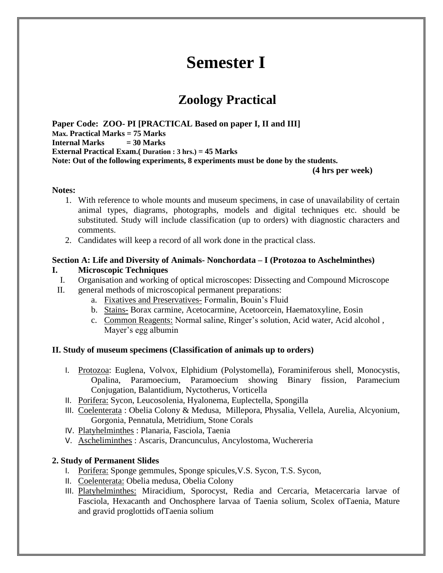# **Semester I**

## **Zoology Practical**

**Paper Code: ZOO- PI [PRACTICAL Based on paper I, II and III] Max. Practical Marks = 75 Marks Internal Marks = 30 Marks External Practical Exam.( Duration : 3 hrs.) = 45 Marks Note: Out of the following experiments, 8 experiments must be done by the students.**

**(4 hrs per week)**

#### **Notes:**

- 1. With reference to whole mounts and museum specimens, in case of unavailability of certain animal types, diagrams, photographs, models and digital techniques etc. should be substituted. Study will include classification (up to orders) with diagnostic characters and comments.
- 2. Candidates will keep a record of all work done in the practical class.

#### **Section A: Life and Diversity of Animals- Nonchordata – I (Protozoa to Aschelminthes)**

#### **I. Microscopic Techniques**

- I. Organisation and working of optical microscopes: Dissecting and Compound Microscope
- II. general methods of microscopical permanent preparations:
	- a. Fixatives and Preservatives- Formalin, Bouin's Fluid
	- b. Stains- Borax carmine, Acetocarmine, Acetoorcein, Haematoxyline, Eosin
	- c. Common Reagents: Normal saline, Ringer's solution, Acid water, Acid alcohol , Mayer's egg albumin

#### **II. Study of museum specimens (Classification of animals up to orders)**

- I. Protozoa: Euglena, Volvox, Elphidium (Polystomella), Foraminiferous shell, Monocystis, Opalina, Paramoecium, Paramoecium showing Binary fission, Paramecium Conjugation, Balantidium, Nyctotherus, Vorticella
- II. Porifera: Sycon, Leucosolenia, Hyalonema, Euplectella, Spongilla
- III. Coelenterata : Obelia Colony & Medusa, Millepora, Physalia, Vellela, Aurelia, Alcyonium, Gorgonia, Pennatula, Metridium, Stone Corals
- IV. Platyhelminthes : Planaria, Fasciola, Taenia
- V. Ascheliminthes : Ascaris, Drancunculus, Ancylostoma, Wuchereria

#### **2. Study of Permanent Slides**

- I. Porifera: Sponge gemmules, Sponge spicules,V.S. Sycon, T.S. Sycon,
- II. Coelenterata: Obelia medusa, Obelia Colony
- III. Platyhelminthes: Miracidium, Sporocyst, Redia and Cercaria, Metacercaria larvae of Fasciola, Hexacanth and Onchosphere larvaa of Taenia solium, Scolex ofTaenia, Mature and gravid proglottids ofTaenia solium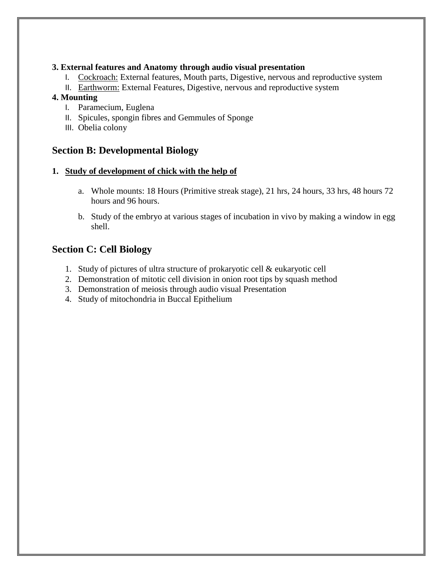#### **3. External features and Anatomy through audio visual presentation**

- I. Cockroach: External features, Mouth parts, Digestive, nervous and reproductive system
- II. Earthworm: External Features, Digestive, nervous and reproductive system

#### **4. Mounting**

- I. Paramecium, Euglena
- II. Spicules, spongin fibres and Gemmules of Sponge
- III. Obelia colony

### **Section B: Developmental Biology**

#### **1. Study of development of chick with the help of**

- a. Whole mounts: 18 Hours (Primitive streak stage), 21 hrs, 24 hours, 33 hrs, 48 hours 72 hours and 96 hours.
- b. Study of the embryo at various stages of incubation in vivo by making a window in egg shell.

### **Section C: Cell Biology**

- 1. Study of pictures of ultra structure of prokaryotic cell & eukaryotic cell
- 2. Demonstration of mitotic cell division in onion root tips by squash method
- 3. Demonstration of meiosis through audio visual Presentation
- 4. Study of mitochondria in Buccal Epithelium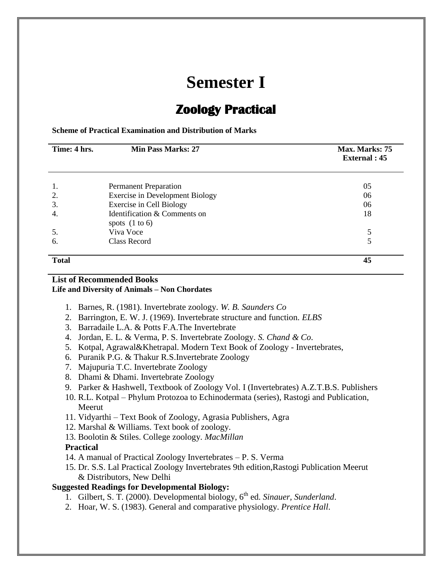# **Semester I**

# **Zoology Practical**

**Scheme of Practical Examination and Distribution of Marks**

| Time: 4 hrs. | <b>Min Pass Marks: 27</b>                        | Max. Marks: 75<br><b>External</b> : 45 |
|--------------|--------------------------------------------------|----------------------------------------|
|              | <b>Permanent Preparation</b>                     | 05                                     |
| 2.           | <b>Exercise in Development Biology</b>           | 06                                     |
| 3.           | Exercise in Cell Biology                         | 06                                     |
| 4.           | Identification & Comments on<br>spots $(1 to 6)$ | 18                                     |
| 5.           | Viva Voce                                        |                                        |
| 6.           | Class Record                                     |                                        |
| <b>Total</b> |                                                  | 45                                     |

#### **List of Recommended Books Life and Diversity of Animals – Non Chordates**

- 1. Barnes, R. (1981). Invertebrate zoology. *W. B. Saunders Co*
- 2. Barrington, E. W. J. (1969). Invertebrate structure and function. *ELBS*
- 3. Barradaile L.A. & Potts F.A.The Invertebrate
- 4. Jordan, E. L. & Verma, P. S. Invertebrate Zoology. *S. Chand & Co*.
- 5. Kotpal, Agrawal&Khetrapal. Modern Text Book of Zoology Invertebrates,
- 6. Puranik P.G. & Thakur R.S.Invertebrate Zoology
- 7. Majupuria T.C. Invertebrate Zoology
- 8. Dhami & Dhami. Invertebrate Zoology
- 9. Parker & Hashwell, Textbook of Zoology Vol. I (Invertebrates) A.Z.T.B.S. Publishers
- 10. R.L. Kotpal Phylum Protozoa to Echinodermata (series), Rastogi and Publication, Meerut
- 11. Vidyarthi Text Book of Zoology, Agrasia Publishers, Agra
- 12. Marshal & Williams. Text book of zoology.
- 13. Boolotin & Stiles. College zoology. *MacMillan*

### **Practical**

- 14. A manual of Practical Zoology Invertebrates P. S. Verma
- 15. Dr. S.S. Lal Practical Zoology Invertebrates 9th edition,Rastogi Publication Meerut & Distributors, New Delhi

### **Suggested Readings for Developmental Biology:**

- 1. Gilbert, S. T. (2000). Developmental biology, 6th ed. *Sinauer, Sunderland*.
- 2. Hoar, W. S. (1983). General and comparative physiology. *Prentice Hall*.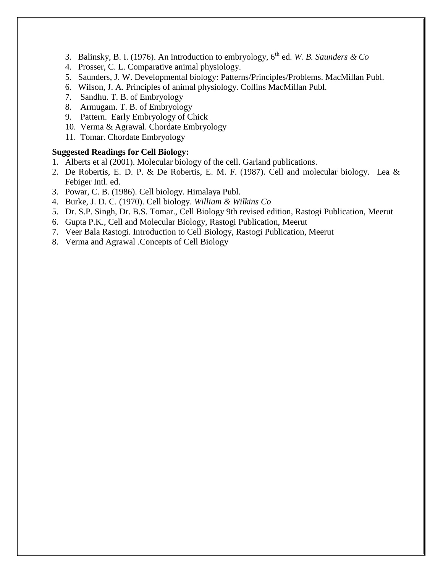- 3. Balinsky, B. I. (1976). An introduction to embryology, 6<sup>th</sup> ed. *W. B. Saunders & Co*
- 4. Prosser, C. L. Comparative animal physiology.
- 5. Saunders, J. W. Developmental biology: Patterns/Principles/Problems. MacMillan Publ.
- 6. Wilson, J. A. Principles of animal physiology. Collins MacMillan Publ.
- 7. Sandhu. T. B. of Embryology
- 8. Armugam. T. B. of Embryology
- 9. Pattern. Early Embryology of Chick
- 10. Verma & Agrawal. Chordate Embryology
- 11. Tomar. Chordate Embryology

#### **Suggested Readings for Cell Biology:**

- 1. Alberts et al (2001). Molecular biology of the cell. Garland publications.
- 2. De Robertis, E. D. P. & De Robertis, E. M. F. (1987). Cell and molecular biology. Lea & Febiger Intl. ed.
- 3. Powar, C. B. (1986). Cell biology. Himalaya Publ.
- 4. Burke, J. D. C. (1970). Cell biology. *William & Wilkins Co*
- 5. Dr. S.P. Singh, Dr. B.S. Tomar., Cell Biology 9th revised edition, Rastogi Publication, Meerut
- 6. Gupta P.K., Cell and Molecular Biology, Rastogi Publication, Meerut
- 7. Veer Bala Rastogi. Introduction to Cell Biology, Rastogi Publication, Meerut
- 8. Verma and Agrawal .Concepts of Cell Biology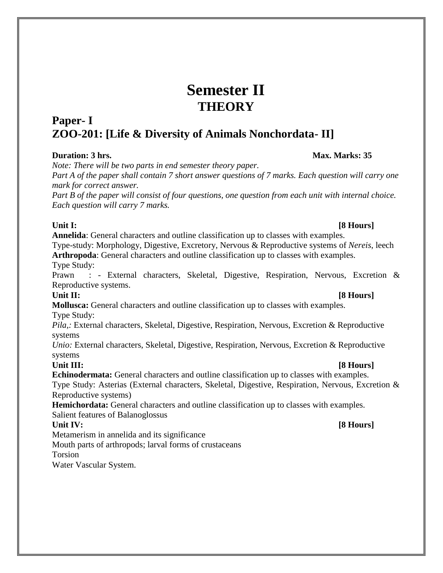# **Semester II THEORY**

## **Paper- I ZOO-201: [Life & Diversity of Animals Nonchordata- II]**

*Note: There will be two parts in end semester theory paper.*

*Part A of the paper shall contain 7 short answer questions of 7 marks. Each question will carry one mark for correct answer.*

*Part B of the paper will consist of four questions, one question from each unit with internal choice. Each question will carry 7 marks.*

**Unit I: [8 Hours] Annelida**: General characters and outline classification up to classes with examples. Type-study: Morphology, Digestive, Excretory, Nervous & Reproductive systems of *Nereis*, leech **Arthropoda**: General characters and outline classification up to classes with examples. Type Study:

Prawn : - External characters, Skeletal, Digestive, Respiration, Nervous, Excretion & Reproductive systems.

**Unit II: [8 Hours] Mollusca:** General characters and outline classification up to classes with examples. Type Study:

*Pila,:* External characters, Skeletal, Digestive, Respiration, Nervous, Excretion & Reproductive systems

*Unio:* External characters, Skeletal, Digestive, Respiration, Nervous, Excretion & Reproductive systems

Unit III: [8 **Hours] Echinodermata:** General characters and outline classification up to classes with examples.

Type Study: Asterias (External characters, Skeletal, Digestive, Respiration, Nervous, Excretion & Reproductive systems)

**Hemichordata:** General characters and outline classification up to classes with examples. Salient features of Balanoglossus

Metamerism in annelida and its significance

Mouth parts of arthropods; larval forms of crustaceans

Torsion

Water Vascular System.

### Unit IV: **[8 Hours] IV:** *PHONE PHONE PHONE PHONE PHONE PHONE PHONE PHONE PHONE PHONE PHONE PHONE PHONE PHONE PHONE PHONE PHONE PHONE PHONE*

### **Duration: 3 hrs.** Max. Marks: 35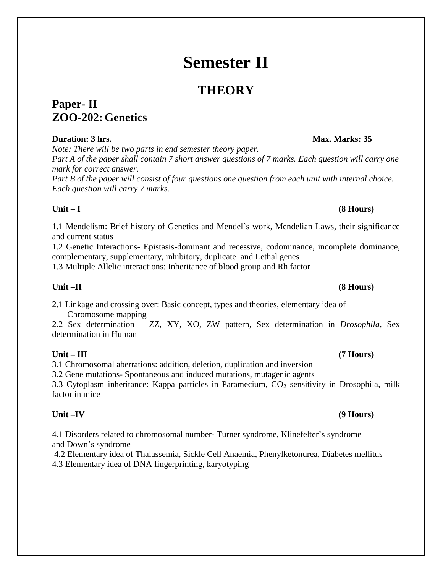# **Semester II**

# **THEORY**

## **Paper- II ZOO-202: Genetics**

### **Duration: 3 hrs.** Max. Marks: 35

*Note: There will be two parts in end semester theory paper. Part A of the paper shall contain 7 short answer questions of 7 marks. Each question will carry one mark for correct answer.*

*Part B of the paper will consist of four questions one question from each unit with internal choice. Each question will carry 7 marks.*

### **Unit – I (8 Hours)**

1.1 Mendelism: Brief history of Genetics and Mendel's work, Mendelian Laws, their significance and current status

1.2 Genetic Interactions- Epistasis-dominant and recessive, codominance, incomplete dominance, complementary, supplementary, inhibitory, duplicate and Lethal genes

1.3 Multiple Allelic interactions: Inheritance of blood group and Rh factor

2.1 Linkage and crossing over: Basic concept, types and theories, elementary idea of Chromosome mapping

2.2 Sex determination – ZZ, XY, XO, ZW pattern, Sex determination in *Drosophila*, Sex determination in Human

### **Unit – III (7 Hours)**

3.1 Chromosomal aberrations: addition, deletion, duplication and inversion

3.2 Gene mutations- Spontaneous and induced mutations, mutagenic agents

3.3 Cytoplasm inheritance: Kappa particles in Paramecium,  $CO<sub>2</sub>$  sensitivity in Drosophila, milk factor in mice

4.1 Disorders related to chromosomal number- Turner syndrome, Klinefelter's syndrome and Down's syndrome

4.2 Elementary idea of Thalassemia, Sickle Cell Anaemia, Phenylketonurea, Diabetes mellitus 4.3 Elementary idea of DNA fingerprinting, karyotyping

### **Unit –II (8 Hours)**

### **Unit –IV (9 Hours)**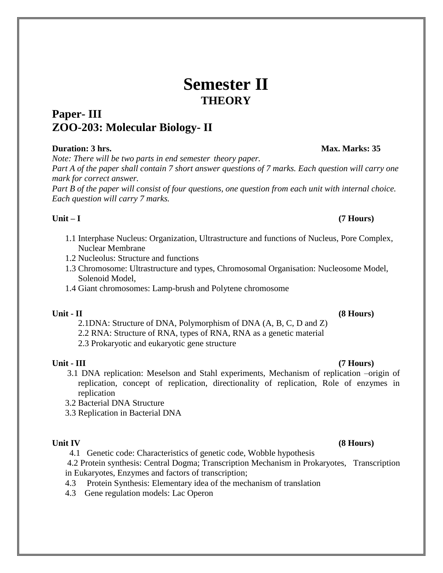# **Semester II THEORY**

## **Paper- III ZOO-203: Molecular Biology- II**

#### **Duration: 3 hrs. Max. Marks: 35**

*Note: There will be two parts in end semester theory paper.*

*Part A of the paper shall contain 7 short answer questions of 7 marks. Each question will carry one mark for correct answer.*

*Part B of the paper will consist of four questions, one question from each unit with internal choice. Each question will carry 7 marks.*

#### **Unit – I (7 Hours)**

- 1.1 Interphase Nucleus: Organization, Ultrastructure and functions of Nucleus, Pore Complex, Nuclear Membrane
- 1.2 Nucleolus: Structure and functions
- 1.3 Chromosome: Ultrastructure and types, Chromosomal Organisation: Nucleosome Model, Solenoid Model,
- 1.4 Giant chromosomes: Lamp-brush and Polytene chromosome

- 2.1DNA: Structure of DNA, Polymorphism of DNA (A, B, C, D and Z)
- 2.2 RNA: Structure of RNA, types of RNA, RNA as a genetic material

2.3 Prokaryotic and eukaryotic gene structure

- **Unit - III (7 Hours)** 3.1 DNA replication: Meselson and Stahl experiments, Mechanism of replication –origin of replication, concept of replication, directionality of replication, Role of enzymes in replication
	- 3.2 Bacterial DNA Structure
	- 3.3 Replication in Bacterial DNA

**Unit IV (8 Hours)** 4.1 Genetic code: Characteristics of genetic code, Wobble hypothesis

4.2 Protein synthesis: Central Dogma; Transcription Mechanism in Prokaryotes, Transcription in Eukaryotes, Enzymes and factors of transcription;

- 4.3 Protein Synthesis: Elementary idea of the mechanism of translation
- 4.3 Gene regulation models: Lac Operon

### **Unit - II (8 Hours)**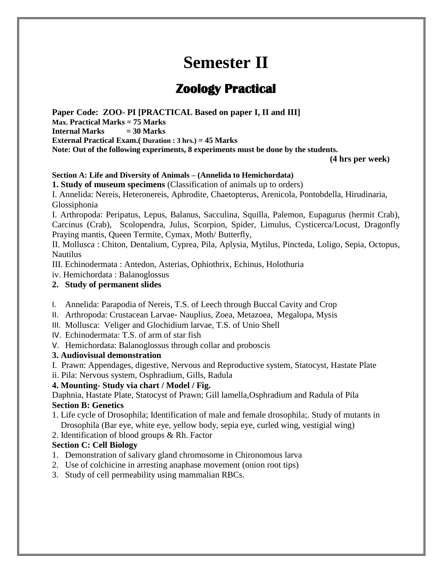# **Semester II**

# **Zoology Practical**

**Paper Code: ZOO- PI [PRACTICAL Based on paper I, II and III] Max. Practical Marks = 75 Marks Internal Marks = 30 Marks External Practical Exam.( Duration : 3 hrs.) = 45 Marks Note: Out of the following experiments, 8 experiments must be done by the students.**

 **(4 hrs per week)**

#### **Section A: Life and Diversity of Animals – (Annelida to Hemichordata)**

**1. Study of museum specimens** (Classification of animals up to orders)

I. Annelida: Nereis, Heteronereis, Aphrodite, Chaetopterus, Arenicola, Pontobdella, Hirudinaria, Glossiphonia

I. Arthropoda: Peripatus, Lepus, Balanus, Sacculina, Squilla, Palemon, Eupagurus (hermit Crab), Carcinus (Crab), Scolopendra, Julus, Scorpion, Spider, Limulus, Cysticerca/Locust, Dragonfly Praying mantis, Queen Termite, Cymax, Moth/ Butterfly,

II. Mollusca : Chiton, Dentalium, Cyprea, Pila, Aplysia, Mytilus, Pincteda, Loligo, Sepia, Octopus, Nautilus

III. Echinodermata : Antedon, Asterias, Ophiothrix, Echinus, Holothuria

iv. Hemichordata : Balanoglossus

#### **2. Study of permanent slides**

- I. Annelida: Parapodia of Nereis, T.S. of Leech through Buccal Cavity and Crop
- II. Arthropoda: Crustacean Larvae- Nauplius, Zoea, Metazoea, Megalopa, Mysis
- III. Mollusca: Veliger and Glochidium larvae, T.S. of Unio Shell
- IV. Echinodermata: T.S. of arm of star fish
- V. Hemichordata: Balanoglossus through collar and proboscis

#### **3. Audiovisual demonstration**

- I. Prawn: Appendages, digestive, Nervous and Reproductive system, Statocyst, Hastate Plate
- ii. Pila: Nervous system, Osphradium, Gills, Radula

### **4. Mounting- Study via chart / Model / Fig.**

Daphnia, Hastate Plate, Statocyst of Prawn; Gill lamella,Osphradium and Radula of Pila **Section B: Genetics**

- 1. Life cycle of Drosophila; Identification of male and female drosophila;. Study of mutants in Drosophila (Bar eye, white eye, yellow body, sepia eye, curled wing, vestigial wing)
- 2. Identification of blood groups & Rh. Factor

#### **Section C: Cell Biology**

- 1. Demonstration of salivary gland chromosome in Chironomous larva
- 2. Use of colchicine in arresting anaphase movement (onion root tips)
- 3. Study of cell permeability using mammalian RBCs.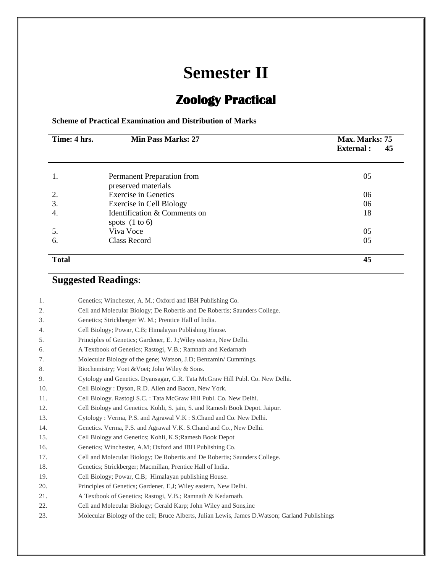# **Semester II**

# **Zoology Practical**

**Scheme of Practical Examination and Distribution of Marks**

| Time: 4 hrs. | <b>Min Pass Marks: 27</b>                         | Max. Marks: 75<br><b>External:</b><br>45 |
|--------------|---------------------------------------------------|------------------------------------------|
| 1.           | Permanent Preparation from<br>preserved materials | 05                                       |
| 2.           | <b>Exercise in Genetics</b>                       | 06                                       |
| 3.           | Exercise in Cell Biology                          | 06                                       |
| 4.           | Identification & Comments on<br>spots $(1 to 6)$  | 18                                       |
| 5.           | Viva Voce                                         | 05                                       |
| 6.           | Class Record                                      | 05                                       |
| <b>Total</b> |                                                   | 45                                       |

## **Suggested Readings**:

| 1.  | Genetics; Winchester, A. M.; Oxford and IBH Publishing Co.                                       |
|-----|--------------------------------------------------------------------------------------------------|
| 2.  | Cell and Molecular Biology; De Robertis and De Robertis; Saunders College.                       |
| 3.  | Genetics; Strickberger W. M.; Prentice Hall of India.                                            |
| 4.  | Cell Biology; Powar, C.B; Himalayan Publishing House.                                            |
| 5.  | Principles of Genetics; Gardener, E. J.; Wiley eastern, New Delhi.                               |
| 6.  | A Textbook of Genetics; Rastogi, V.B.; Ramnath and Kedarnath                                     |
| 7.  | Molecular Biology of the gene; Watson, J.D; Benzamin/Cummings.                                   |
| 8.  | Biochemistry; Voet & Voet; John Wiley & Sons.                                                    |
| 9.  | Cytology and Genetics. Dyansagar, C.R. Tata McGraw Hill Publ. Co. New Delhi.                     |
| 10. | Cell Biology: Dyson, R.D. Allen and Bacon, New York.                                             |
| 11. | Cell Biology. Rastogi S.C.: Tata McGraw Hill Publ. Co. New Delhi.                                |
| 12. | Cell Biology and Genetics. Kohli, S. jain, S. and Ramesh Book Depot. Jaipur.                     |
| 13. | Cytology: Verma, P.S. and Agrawal V.K : S.Chand and Co. New Delhi.                               |
| 14. | Genetics. Verma, P.S. and Agrawal V.K. S.Chand and Co., New Delhi.                               |
| 15. | Cell Biology and Genetics; Kohli, K.S; Ramesh Book Depot                                         |
| 16. | Genetics; Winchester, A.M; Oxford and IBH Publishing Co.                                         |
| 17. | Cell and Molecular Biology; De Robertis and De Robertis; Saunders College.                       |
| 18. | Genetics; Strickberger; Macmillan, Prentice Hall of India.                                       |
| 19. | Cell Biology; Powar, C.B; Himalayan publishing House.                                            |
| 20. | Principles of Genetics; Gardener, E, J; Wiley eastern, New Delhi.                                |
| 21. | A Textbook of Genetics; Rastogi, V.B.; Ramnath & Kedarnath.                                      |
| 22. | Cell and Molecular Biology; Gerald Karp; John Wiley and Sons, inc                                |
| 23. | Molecular Biology of the cell; Bruce Alberts, Julian Lewis, James D. Watson; Garland Publishings |
|     |                                                                                                  |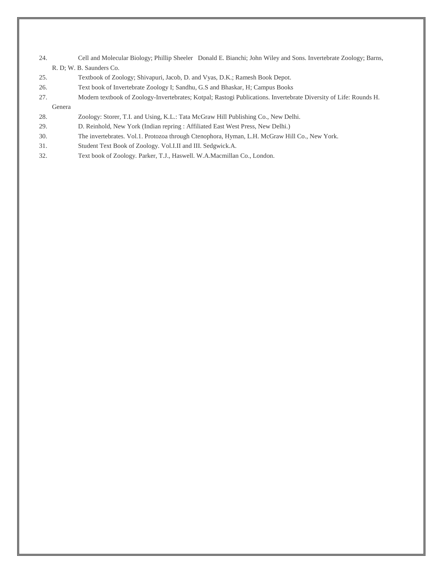- 24. Cell and Molecular Biology; Phillip Sheeler Donald E. Bianchi; John Wiley and Sons. Invertebrate Zoology; Barns, R. D; W. B. Saunders Co.
- 25. Textbook of Zoology; Shivapuri, Jacob, D. and Vyas, D.K.; Ramesh Book Depot.
- 26. Text book of Invertebrate Zoology I; Sandhu, G.S and Bhaskar, H; Campus Books
- 27. Modern textbook of Zoology-Invertebrates; Kotpal; Rastogi Publications. Invertebrate Diversity of Life: Rounds H.
- Genera
- 28. Zoology: Storer, T.I. and Using, K.L.: Tata McGraw Hill Publishing Co., New Delhi.
- 29. D. Reinhold, New York (Indian repring : Affiliated East West Press, New Delhi.)
- 30. The invertebrates. Vol.1. Protozoa through Ctenophora, Hyman, L.H. McGraw Hill Co., New York.
- 31. Student Text Book of Zoology. Vol.I.II and III. Sedgwick.A.
- 32. Text book of Zoology. Parker, T.J., Haswell. W.A.Macmillan Co., London.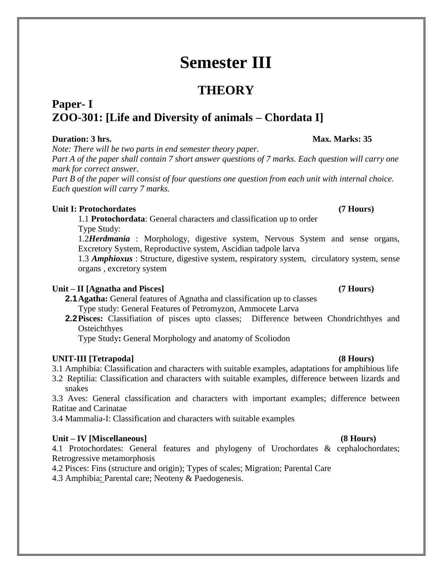# **Semester III**

## **THEORY**

## **Paper- I ZOO-301: [Life and Diversity of animals – Chordata I]**

### **Duration: 3 hrs.** Max. Marks: 35

*Note: There will be two parts in end semester theory paper.*

*Part A of the paper shall contain 7 short answer questions of 7 marks. Each question will carry one mark for correct answer.*

*Part B of the paper will consist of four questions one question from each unit with internal choice. Each question will carry 7 marks.*

#### **Unit I: Protochordates (7 Hours)**

1.1 **Protochordata**: General characters and classification up to order Type Study:

1.2*Herdmania* : Morphology, digestive system, Nervous System and sense organs, Excretory System, Reproductive system, Ascidian tadpole larva

1.3 *Amphioxus* : Structure, digestive system, respiratory system, circulatory system, sense organs , excretory system

### **Unit – II [Agnatha and Pisces] (7 Hours)**

- **2.1Agatha:** General features of Agnatha and classification up to classes Type study: General Features of Petromyzon, Ammocete Larva
- **2.2Pisces:** Classifiation of pisces upto classes; Difference between Chondrichthyes and **Osteichthyes**

Type Study**:** General Morphology and anatomy of Scoliodon

### **UNIT-III [Tetrapoda] (8 Hours)**

- 3.1 Amphibia: Classification and characters with suitable examples, adaptations for amphibious life
- 3.2 Reptilia: Classification and characters with suitable examples, difference between lizards and snakes

3.3 Aves: General classification and characters with important examples; difference between Ratitae and Carinatae

3.4 Mammalia-I: Classification and characters with suitable examples

#### **Unit – IV [Miscellaneous] (8 Hours)**

4.1 Protochordates: General features and phylogeny of Urochordates & cephalochordates; Retrogressive metamorphosis

4.2 Pisces: Fins (structure and origin); Types of scales; Migration; Parental Care

4.3 Amphibia: Parental care; Neoteny & Paedogenesis.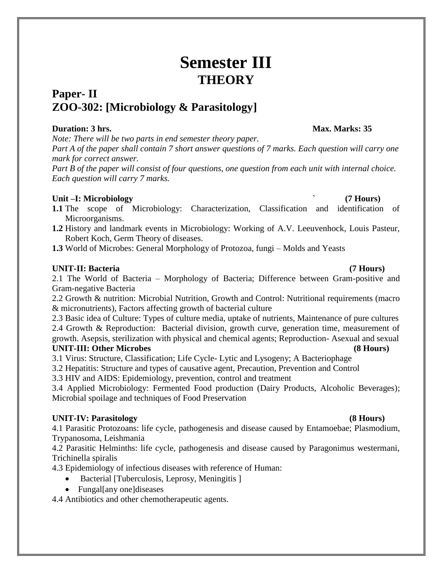# **Semester III THEORY**

## **Paper- II ZOO-302: [Microbiology & Parasitology]**

### **Duration: 3 hrs.** Max. Marks: 35

*Note: There will be two parts in end semester theory paper. Part A of the paper shall contain 7 short answer questions of 7 marks. Each question will carry one mark for correct answer.*

*Part B of the paper will consist of four questions, one question from each unit with internal choice. Each question will carry 7 marks.*

### **Unit –I: Microbiology ` (7 Hours)**

- **1.1** The scope of Microbiology: Characterization, Classification and identification of Microorganisms.
- **1.2** History and landmark events in Microbiology: Working of A.V. Leeuvenhock, Louis Pasteur, Robert Koch, Germ Theory of diseases.
- **1.3** World of Microbes: General Morphology of Protozoa, fungi Molds and Yeasts

### **UNIT-II: Bacteria (7 Hours)**

2.1 The World of Bacteria – Morphology of Bacteria; Difference between Gram-positive and Gram-negative Bacteria

2.2 Growth & nutrition: Microbial Nutrition, Growth and Control: Nutritional requirements (macro & micronutrients), Factors affecting growth of bacterial culture

2.3 Basic idea of Culture: Types of culture media, uptake of nutrients, Maintenance of pure cultures 2.4 Growth & Reproduction: Bacterial division, growth curve, generation time, measurement of growth. Asepsis, sterilization with physical and chemical agents; Reproduction- Asexual and sexual **UNIT-III: Other Microbes (8 Hours)**

3.1 Virus: Structure, Classification; Life Cycle- Lytic and Lysogeny; A Bacteriophage

3.2 Hepatitis: Structure and types of causative agent, Precaution, Prevention and Control

3.3 HIV and AIDS: Epidemiology, prevention, control and treatment

3.4 Applied Microbiology: Fermented Food production (Dairy Products, Alcoholic Beverages); Microbial spoilage and techniques of Food Preservation

### **UNIT-IV: Parasitology (8 Hours)**

4.1 Parasitic Protozoans: life cycle, pathogenesis and disease caused by Entamoebae; Plasmodium, Trypanosoma, Leishmania

4.2 Parasitic Helminths: life cycle, pathogenesis and disease caused by Paragonimus westermani, Trichinella spiralis

4.3 Epidemiology of infectious diseases with reference of Human:

- Bacterial [Tuberculosis, Leprosy, Meningitis ]
- Fungal[any one]diseases

4.4 Antibiotics and other chemotherapeutic agents.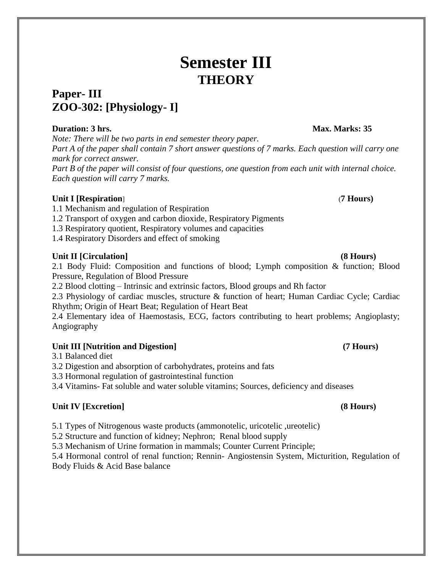# **Semester III THEORY**

## **Paper- III ZOO-302: [Physiology- I]**

### **Duration: 3 hrs.** Max. Marks: 35

*Note: There will be two parts in end semester theory paper.*

*Part A of the paper shall contain 7 short answer questions of 7 marks. Each question will carry one mark for correct answer.*

*Part B of the paper will consist of four questions, one question from each unit with internal choice. Each question will carry 7 marks.*

### **Unit I [Respiration**] (**7 Hours)**

- 1.1 Mechanism and regulation of Respiration
- 1.2 Transport of oxygen and carbon dioxide, Respiratory Pigments
- 1.3 Respiratory quotient, Respiratory volumes and capacities
- 1.4 Respiratory Disorders and effect of smoking

### **Unit II [Circulation] (8 Hours)**

2.1 Body Fluid: Composition and functions of blood; Lymph composition & function; Blood Pressure, Regulation of Blood Pressure

2.2 Blood clotting – Intrinsic and extrinsic factors, Blood groups and Rh factor

2.3 Physiology of cardiac muscles, structure & function of heart; Human Cardiac Cycle; Cardiac Rhythm; Origin of Heart Beat; Regulation of Heart Beat

2.4 Elementary idea of Haemostasis, ECG, factors contributing to heart problems; Angioplasty; Angiography

### **Unit III [Nutrition and Digestion] (7 Hours)**

3.1 Balanced diet

3.2 Digestion and absorption of carbohydrates, proteins and fats

3.3 Hormonal regulation of gastrointestinal function

3.4 Vitamins- Fat soluble and water soluble vitamins; Sources, deficiency and diseases

### **Unit IV [Excretion] (8 Hours)**

5.1 Types of Nitrogenous waste products (ammonotelic, uricotelic ,ureotelic)

5.2 Structure and function of kidney; Nephron; Renal blood supply

5.3 Mechanism of Urine formation in mammals; Counter Current Principle;

5.4 Hormonal control of renal function; Rennin- Angiostensin System, Micturition, Regulation of Body Fluids & Acid Base balance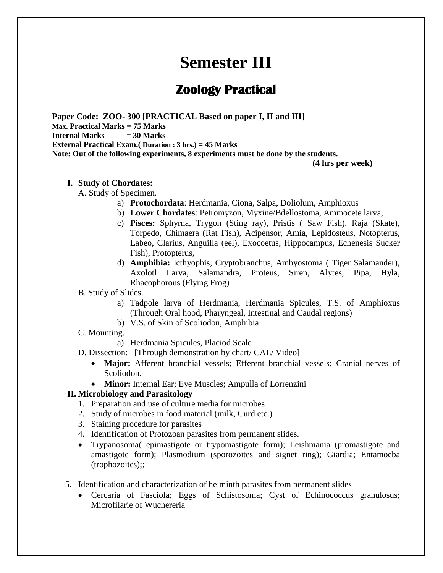# **Semester III**

## **Zoology Practical**

**Paper Code: ZOO- 300 [PRACTICAL Based on paper I, II and III] Max. Practical Marks = 75 Marks Internal Marks = 30 Marks External Practical Exam.( Duration : 3 hrs.) = 45 Marks Note: Out of the following experiments, 8 experiments must be done by the students.**

**(4 hrs per week)**

#### **I. Study of Chordates:**

A. Study of Specimen.

- a) **Protochordata**: Herdmania, Ciona, Salpa, Doliolum, Amphioxus
- b) **Lower Chordates**: Petromyzon, Myxine/Bdellostoma, Ammocete larva,
- c) **Pisces:** Sphyrna, Trygon (Sting ray), Pristis ( Saw Fish), Raja (Skate), Torpedo, Chimaera (Rat Fish), Acipensor, Amia, Lepidosteus, Notopterus, Labeo, Clarius, Anguilla (eel), Exocoetus, Hippocampus, Echenesis Sucker Fish), Protopterus,
- d) **Amphibia:** Icthyophis, Cryptobranchus, Ambyostoma ( Tiger Salamander), Axolotl Larva, Salamandra, Proteus, Siren, Alytes, Pipa, Hyla, Rhacophorous (Flying Frog)

#### B. Study of Slides.

- a) Tadpole larva of Herdmania, Herdmania Spicules, T.S. of Amphioxus (Through Oral hood, Pharyngeal, Intestinal and Caudal regions)
- b) V.S. of Skin of Scoliodon, Amphibia
- C. Mounting.
	- a) Herdmania Spicules, Placiod Scale
- D. Dissection: [Through demonstration by chart/ CAL/ Video]
	- **Major:** Afferent branchial vessels; Efferent branchial vessels; Cranial nerves of Scoliodon.
	- **Minor:** Internal Ear; Eye Muscles; Ampulla of Lorrenzini

#### **II. Microbiology and Parasitology**

- 1. Preparation and use of culture media for microbes
- 2. Study of microbes in food material (milk, Curd etc.)
- 3. Staining procedure for parasites
- 4. Identification of Protozoan parasites from permanent slides.
- Trypanosoma( epimastigote or trypomastigote form); Leishmania (promastigote and amastigote form); Plasmodium (sporozoites and signet ring); Giardia; Entamoeba (trophozoites);;
- 5. Identification and characterization of helminth parasites from permanent slides
	- Cercaria of Fasciola; Eggs of Schistosoma; Cyst of Echinococcus granulosus; Microfilarie of Wuchereria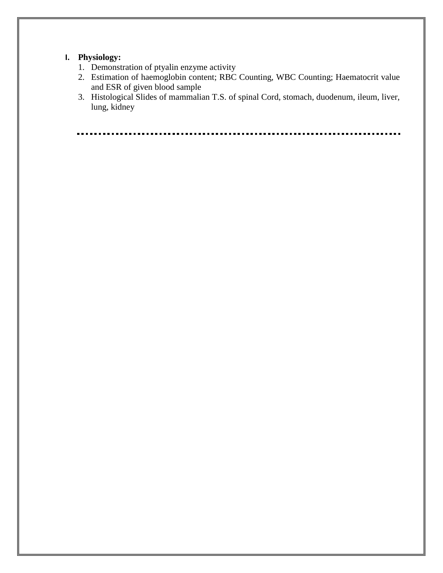### **I. Physiology:**

- 1. Demonstration of ptyalin enzyme activity
- 2. Estimation of haemoglobin content; RBC Counting, WBC Counting; Haematocrit value and ESR of given blood sample
- 3. Histological Slides of mammalian T.S. of spinal Cord, stomach, duodenum, ileum, liver, lung, kidney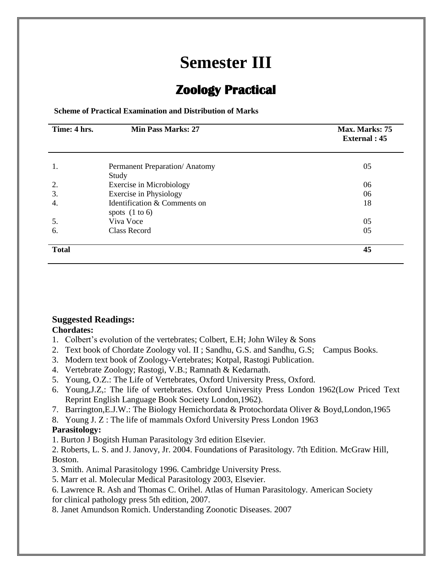# **Semester III**

## **Zoology Practical**

**Scheme of Practical Examination and Distribution of Marks**

| Time: 4 hrs. | <b>Min Pass Marks: 27</b>                        | Max. Marks: 75<br><b>External</b> : 45 |
|--------------|--------------------------------------------------|----------------------------------------|
| 1.           | Permanent Preparation/Anatomy                    | 05                                     |
|              | Study                                            |                                        |
| 2.           | <b>Exercise in Microbiology</b>                  | 06                                     |
| 3.           | Exercise in Physiology                           | 06                                     |
| 4.           | Identification & Comments on<br>spots $(1 to 6)$ | 18                                     |
| 5.           | Viva Voce                                        | 05                                     |
| 6.           | Class Record                                     | 05                                     |
| <b>Total</b> |                                                  | 45                                     |

#### **Suggested Readings: Chordates:**

- 1. Colbert's evolution of the vertebrates; Colbert, E.H; John Wiley & Sons
- 2. Text book of Chordate Zoology vol. II ; Sandhu, G.S. and Sandhu, G.S; Campus Books.
- 3. Modern text book of Zoology-Vertebrates; Kotpal, Rastogi Publication.
- 4. Vertebrate Zoology; Rastogi, V.B.; Ramnath & Kedarnath.
- 5. Young, O.Z.: The Life of Vertebrates, Oxford University Press, Oxford.
- 6. Young,J.Z,: The life of vertebrates. Oxford University Press London 1962(Low Priced Text Reprint English Language Book Socieety London,1962).
- 7. Barrington,E.J.W.: The Biology Hemichordata & Protochordata Oliver & Boyd,London,1965
- 8. Young J. Z : The life of mammals Oxford University Press London 1963

### **Parasitology:**

1. Burton J Bogitsh Human Parasitology 3rd edition Elsevier.

2. Roberts, L. S. and J. Janovy, Jr. 2004. Foundations of Parasitology. 7th Edition. McGraw Hill, Boston.

- 3. Smith. Animal Parasitology 1996. Cambridge University Press.
- 5. Marr et al. Molecular Medical Parasitology 2003, Elsevier.
- 6. Lawrence R. Ash and Thomas C. Orihel. Atlas of Human Parasitology. American Society for clinical pathology press 5th edition, 2007.

8. Janet Amundson Romich. Understanding Zoonotic Diseases. 2007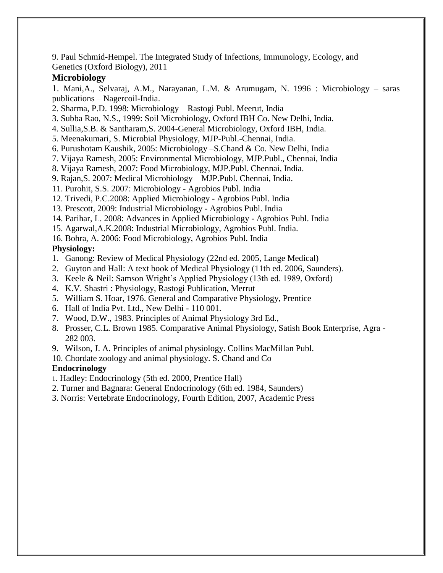9. Paul Schmid-Hempel. The Integrated Study of Infections, Immunology, Ecology, and Genetics (Oxford Biology), 2011

### **Microbiology**

1. Mani,A., Selvaraj, A.M., Narayanan, L.M. & Arumugam, N. 1996 : Microbiology – saras publications – Nagercoil-India.

- 2. Sharma, P.D. 1998: Microbiology Rastogi Publ. Meerut, India
- 3. Subba Rao, N.S., 1999: Soil Microbiology, Oxford IBH Co. New Delhi, India.
- 4. Sullia,S.B. & Santharam,S. 2004-General Microbiology, Oxford IBH, India.
- 5. Meenakumari, S. Microbial Physiology, MJP-Publ.-Chennai, India.
- 6. Purushotam Kaushik, 2005: Microbiology –S.Chand & Co. New Delhi, India
- 7. Vijaya Ramesh, 2005: Environmental Microbiology, MJP.Publ., Chennai, India
- 8. Vijaya Ramesh, 2007: Food Microbiology, MJP.Publ. Chennai, India.
- 9. Rajan,S. 2007: Medical Microbiology MJP.Publ. Chennai, India.
- 11. Purohit, S.S. 2007: Microbiology Agrobios Publ. India
- 12. Trivedi, P.C.2008: Applied Microbiology Agrobios Publ. India
- 13. Prescott, 2009: Industrial Microbiology Agrobios Publ. India
- 14. Parihar, L. 2008: Advances in Applied Microbiology Agrobios Publ. India
- 15. Agarwal,A.K.2008: Industrial Microbiology, Agrobios Publ. India.
- 16. Bohra, A. 2006: Food Microbiology, Agrobios Publ. India

### **Physiology:**

- 1. Ganong: Review of Medical Physiology (22nd ed. 2005, Lange Medical)
- 2. Guyton and Hall: A text book of Medical Physiology (11th ed. 2006, Saunders).
- 3. Keele & Neil: Samson Wright's Applied Physiology (13th ed. 1989, Oxford)
- 4. K.V. Shastri : Physiology, Rastogi Publication, Merrut
- 5. William S. Hoar, 1976. General and Comparative Physiology, Prentice
- 6. Hall of India Pvt. Ltd., New Delhi 110 001.
- 7. Wood, D.W., 1983. Principles of Animal Physiology 3rd Ed.,
- 8. Prosser, C.L. Brown 1985. Comparative Animal Physiology, Satish Book Enterprise, Agra 282 003.
- 9. Wilson, J. A. Principles of animal physiology. Collins MacMillan Publ.
- 10. Chordate zoology and animal physiology. S. Chand and Co

### **Endocrinology**

- 1. Hadley: Endocrinology (5th ed. 2000, Prentice Hall)
- 2. Turner and Bagnara: General Endocrinology (6th ed. 1984, Saunders)
- 3. Norris: Vertebrate Endocrinology, Fourth Edition, 2007, Academic Press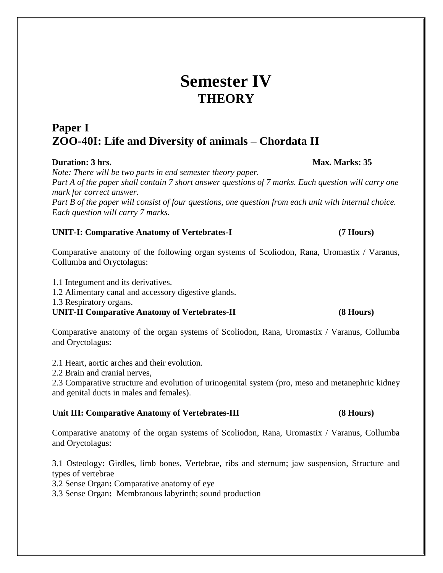# **Semester IV THEORY**

## **Paper I ZOO-40I: Life and Diversity of animals – Chordata II**

#### **Duration: 3 hrs. Max. Marks: 35**

*Note: There will be two parts in end semester theory paper. Part A of the paper shall contain 7 short answer questions of 7 marks. Each question will carry one mark for correct answer. Part B of the paper will consist of four questions, one question from each unit with internal choice. Each question will carry 7 marks.*

#### **UNIT-I: Comparative Anatomy of Vertebrates-I (7 Hours)**

Comparative anatomy of the following organ systems of Scoliodon, Rana, Uromastix / Varanus, Collumba and Oryctolagus:

1.1 Integument and its derivatives.

1.2 Alimentary canal and accessory digestive glands.

1.3 Respiratory organs.

**UNIT-II Comparative Anatomy of Vertebrates-II (8 Hours)**

Comparative anatomy of the organ systems of Scoliodon, Rana, Uromastix / Varanus, Collumba and Oryctolagus:

2.1 Heart, aortic arches and their evolution.

2.2 Brain and cranial nerves,

2.3 Comparative structure and evolution of urinogenital system (pro, meso and metanephric kidney and genital ducts in males and females).

### **Unit III: Comparative Anatomy of Vertebrates-III (8 Hours)**

Comparative anatomy of the organ systems of Scoliodon, Rana, Uromastix / Varanus, Collumba and Oryctolagus:

3.1 Osteology**:** Girdles, limb bones, Vertebrae, ribs and sternum; jaw suspension, Structure and types of vertebrae

3.2 Sense Organ**:** Comparative anatomy of eye

3.3 Sense Organ**:** Membranous labyrinth; sound production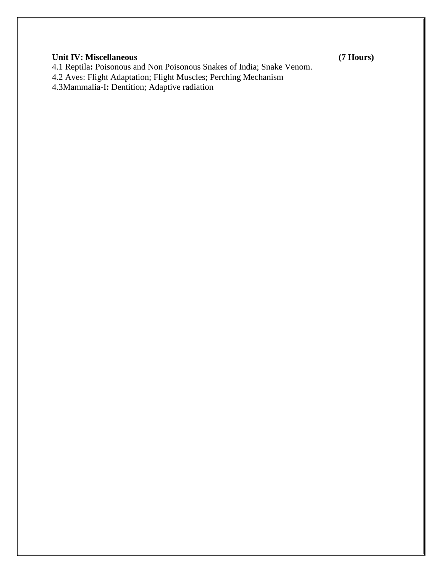### **Unit IV: Miscellaneous (7 Hours)**

4.1 Reptila**:** Poisonous and Non Poisonous Snakes of India; Snake Venom.

4.2 Aves: Flight Adaptation; Flight Muscles; Perching Mechanism

4.3Mammalia-I**:** Dentition; Adaptive radiation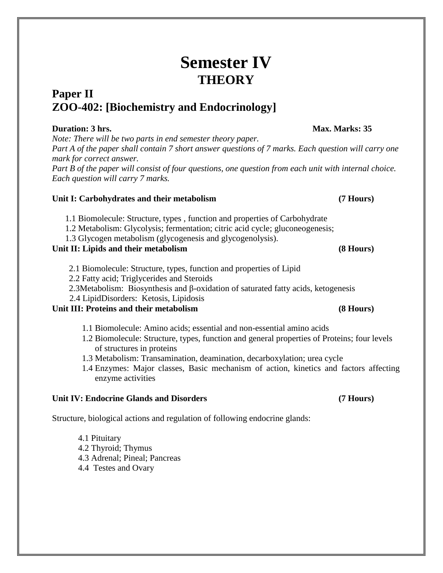# **Semester IV THEORY**

## **Paper II ZOO-402: [Biochemistry and Endocrinology]**

### **Duration: 3 hrs.** Max. Marks: 35

*Note: There will be two parts in end semester theory paper. Part A of the paper shall contain 7 short answer questions of 7 marks. Each question will carry one mark for correct answer.*

*Part B of the paper will consist of four questions, one question from each unit with internal choice. Each question will carry 7 marks.*

### **Unit I: Carbohydrates and their metabolism (7 Hours)**

- 1.1 Biomolecule: Structure, types , function and properties of Carbohydrate
- 1.2 Metabolism: Glycolysis; fermentation; citric acid cycle; gluconeogenesis;
- 1.3 Glycogen metabolism (glycogenesis and glycogenolysis).

### **Unit II: Lipids and their metabolism (8 Hours)**

- 2.1 Biomolecule: Structure, types, function and properties of Lipid
- 2.2 Fatty acid; Triglycerides and Steroids
- 2.3Metabolism: Biosynthesis and β-oxidation of saturated fatty acids, ketogenesis
- 2.4 LipidDisorders: Ketosis, Lipidosis

### **Unit III: Proteins and their metabolism (8 Hours)**

- 1.1 Biomolecule: Amino acids; essential and non-essential amino acids
- 1.2 Biomolecule: Structure, types, function and general properties of Proteins; four levels of structures in proteins
- 1.3 Metabolism: Transamination, deamination, decarboxylation; urea cycle
- 1.4 Enzymes: Major classes, Basic mechanism of action, kinetics and factors affecting enzyme activities

## **Unit IV: Endocrine Glands and Disorders (7 Hours)**

Structure, biological actions and regulation of following endocrine glands:

4.1 Pituitary

- 4.2 Thyroid; Thymus
- 4.3 Adrenal; Pineal; Pancreas
- 4.4 Testes and Ovary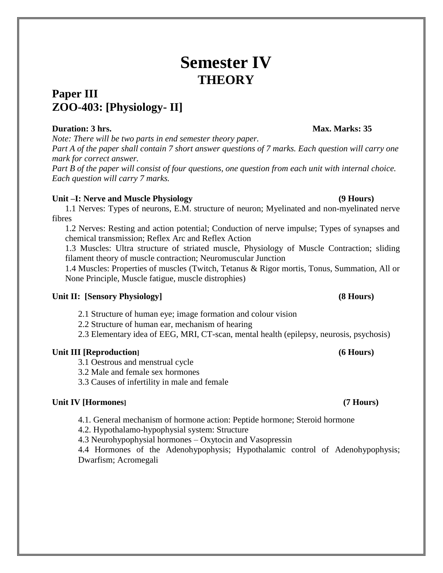# **Semester IV THEORY**

## **Paper III ZOO-403: [Physiology- II]**

### **Duration: 3 hrs.** Max. Marks: 35

*Note: There will be two parts in end semester theory paper. Part A of the paper shall contain 7 short answer questions of 7 marks. Each question will carry one mark for correct answer.*

*Part B of the paper will consist of four questions, one question from each unit with internal choice. Each question will carry 7 marks.*

#### **Unit –I: Nerve and Muscle Physiology (9 Hours)**

1.1 Nerves: Types of neurons, E.M. structure of neuron; Myelinated and non-myelinated nerve fibres

1.2 Nerves: Resting and action potential; Conduction of nerve impulse; Types of synapses and chemical transmission; Reflex Arc and Reflex Action

1.3 Muscles: Ultra structure of striated muscle, Physiology of Muscle Contraction; sliding filament theory of muscle contraction; Neuromuscular Junction

1.4 Muscles: Properties of muscles (Twitch, Tetanus & Rigor mortis, Tonus, Summation, All or None Principle, Muscle fatigue, muscle distrophies)

### **Unit II: [Sensory Physiology] (8 Hours)**

2.1 Structure of human eye; image formation and colour vision

2.2 Structure of human ear, mechanism of hearing

2.3 Elementary idea of EEG, MRI, CT-scan, mental health (epilepsy, neurosis, psychosis)

### **Unit III [Reproduction] (6 Hours)**

3.1 Oestrous and menstrual cycle

3.2 Male and female sex hormones

3.3 Causes of infertility in male and female

### **Unit IV [Hormones] (7 Hours)**

4.1. General mechanism of hormone action: Peptide hormone; Steroid hormone

4.2. Hypothalamo-hypophysial system: Structure

4.3 Neurohypophysial hormones – Oxytocin and Vasopressin

4.4 Hormones of the Adenohypophysis; Hypothalamic control of Adenohypophysis; Dwarfism; Acromegali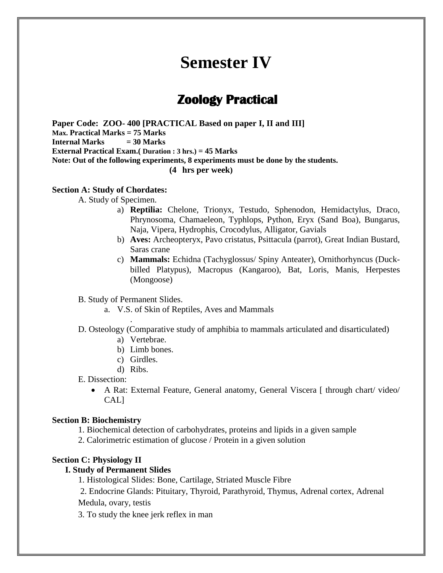# **Semester IV**

## **Zoology Practical**

**Paper Code: ZOO- 400 [PRACTICAL Based on paper I, II and III] Max. Practical Marks = 75 Marks Internal Marks = 30 Marks External Practical Exam.( Duration : 3 hrs.) = 45 Marks Note: Out of the following experiments, 8 experiments must be done by the students. (4 hrs per week)**

**Section A: Study of Chordates:** 

A. Study of Specimen.

- a) **Reptilia:** Chelone, Trionyx, Testudo, Sphenodon, Hemidactylus, Draco, Phrynosoma, Chamaeleon, Typhlops, Python, Eryx (Sand Boa), Bungarus, Naja, Vipera, Hydrophis, Crocodylus, Alligator, Gavials
- b) **Aves:** Archeopteryx, Pavo cristatus, Psittacula (parrot), Great Indian Bustard, Saras crane
- c) **Mammals:** Echidna (Tachyglossus/ Spiny Anteater), Ornithorhyncus (Duckbilled Platypus), Macropus (Kangaroo), Bat, Loris, Manis, Herpestes (Mongoose)

B. Study of Permanent Slides.

.

- a. V.S. of Skin of Reptiles, Aves and Mammals
- D. Osteology (Comparative study of amphibia to mammals articulated and disarticulated)
	- a) Vertebrae.
	- b) Limb bones.
	- c) Girdles.
	- d) Ribs.

E. Dissection:

 A Rat: External Feature, General anatomy, General Viscera [ through chart/ video/ CAL]

#### **Section B: Biochemistry**

1. Biochemical detection of carbohydrates, proteins and lipids in a given sample

2. Calorimetric estimation of glucose / Protein in a given solution

#### **Section C: Physiology II**

#### **I. Study of Permanent Slides**

1. Histological Slides: Bone, Cartilage, Striated Muscle Fibre

2. Endocrine Glands: Pituitary, Thyroid, Parathyroid, Thymus, Adrenal cortex, Adrenal Medula, ovary, testis

3. To study the knee jerk reflex in man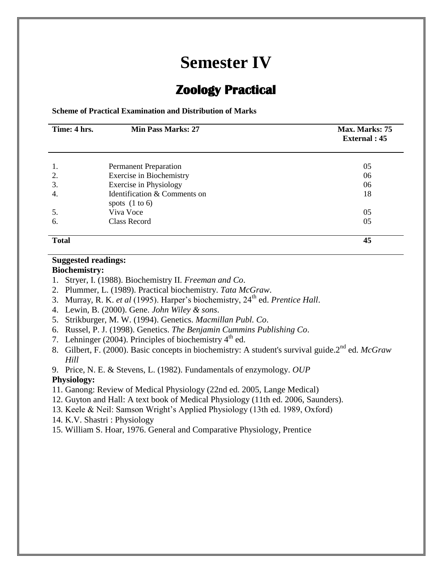# **Semester IV**

## **Zoology Practical**

**Scheme of Practical Examination and Distribution of Marks**

| Time: 4 hrs. | <b>Min Pass Marks: 27</b>                        | Max. Marks: 75<br><b>External</b> : 45 |
|--------------|--------------------------------------------------|----------------------------------------|
| 1.           | <b>Permanent Preparation</b>                     | 05                                     |
| 2.           | <b>Exercise in Biochemistry</b>                  | 06                                     |
| 3.           | Exercise in Physiology                           | 06                                     |
| 4.           | Identification & Comments on<br>spots $(1 to 6)$ | 18                                     |
| 5.           | Viva Voce                                        | 05                                     |
| 6.           | <b>Class Record</b>                              | 05                                     |
| <b>Total</b> |                                                  | 45                                     |

### **Suggested readings:**

**Biochemistry:** 

- 1. Stryer, I. (1988). Biochemistry II. *Freeman and Co*.
- 2. Plummer, L. (1989). Practical biochemistry. *Tata McGraw*.
- 3. Murray, R. K. *et al* (1995). Harper's biochemistry, 24th ed. *Prentice Hall*.
- 4. Lewin, B. (2000). Gene. *John Wiley & sons*.
- 5. Strikburger, M. W. (1994). Genetics. *Macmillan Publ. Co*.
- 6. Russel, P. J. (1998). Genetics. *The Benjamin Cummins Publishing Co*.
- 7. Lehninger (2004). Principles of biochemistry  $4<sup>th</sup>$  ed.
- 8. Gilbert, F. (2000). Basic concepts in biochemistry: A student's survival guide.2nd ed. *McGraw Hill*
- 9. Price, N. E. & Stevens, L. (1982). Fundamentals of enzymology. *OUP*

#### **Physiology:**

- 11. Ganong: Review of Medical Physiology (22nd ed. 2005, Lange Medical)
- 12. Guyton and Hall: A text book of Medical Physiology (11th ed. 2006, Saunders).
- 13. Keele & Neil: Samson Wright's Applied Physiology (13th ed. 1989, Oxford)
- 14. K.V. Shastri : Physiology
- 15. William S. Hoar, 1976. General and Comparative Physiology, Prentice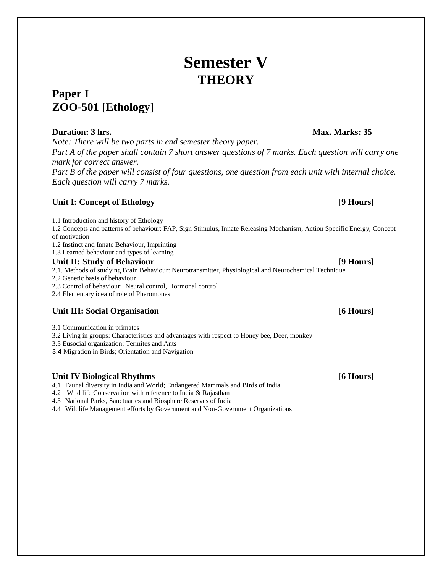# **Semester V THEORY**

## **Paper I ZOO-501 [Ethology]**

### **Duration: 3 hrs. Max. Marks: 35**

*Note: There will be two parts in end semester theory paper.*

*Part A of the paper shall contain 7 short answer questions of 7 marks. Each question will carry one mark for correct answer.*

*Part B of the paper will consist of four questions, one question from each unit with internal choice. Each question will carry 7 marks.*

### **Unit I: Concept of Ethology [9 Hours]**

1.1 Introduction and history of Ethology

1.2 Concepts and patterns of behaviour: FAP, Sign Stimulus, Innate Releasing Mechanism, Action Specific Energy, Concept of motivation

1.2 Instinct and Innate Behaviour, Imprinting

1.3 Learned behaviour and types of learning

### **Unit II: Study of Behaviour [9 Hours]**

2.1. Methods of studying Brain Behaviour: Neurotransmitter, Physiological and Neurochemical Technique

2.2 Genetic basis of behaviour

2.3 Control of behaviour: Neural control, Hormonal control

2.4 Elementary idea of role of Pheromones

### **Unit III: Social Organisation [6 Hours]**

3.1 Communication in primates

3.2 Living in groups: Characteristics and advantages with respect to Honey bee, Deer, monkey

3.3 Eusocial organization: Termites and Ants

3.4 Migration in Birds; Orientation and Navigation

### **Unit IV Biological Rhythms [6 Hours]**

4.1 Faunal diversity in India and World; Endangered Mammals and Birds of India

4.2 Wild life Conservation with reference to India & Rajasthan

4.3 National Parks, Sanctuaries and Biosphere Reserves of India

4.4 Wildlife Management efforts by Government and Non-Government Organizations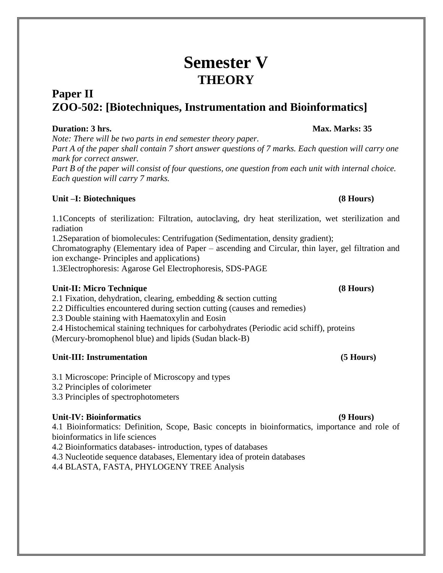# **Semester V THEORY**

## **Paper II ZOO-502: [Biotechniques, Instrumentation and Bioinformatics]**

### **Duration: 3 hrs.** Max. Marks: 35

*Note: There will be two parts in end semester theory paper. Part A of the paper shall contain 7 short answer questions of 7 marks. Each question will carry one mark for correct answer.*

*Part B of the paper will consist of four questions, one question from each unit with internal choice. Each question will carry 7 marks.*

### **Unit –I: Biotechniques (8 Hours)**

1.1Concepts of sterilization: Filtration, autoclaving, dry heat sterilization, wet sterilization and radiation

1.2Separation of biomolecules: Centrifugation (Sedimentation, density gradient);

Chromatography (Elementary idea of Paper – ascending and Circular, thin layer, gel filtration and ion exchange- Principles and applications)

1.3Electrophoresis: Agarose Gel Electrophoresis, SDS-PAGE

### **Unit-II: Micro Technique (8 Hours)**

2.1 Fixation, dehydration, clearing, embedding & section cutting

2.2 Difficulties encountered during section cutting (causes and remedies)

2.3 Double staining with Haematoxylin and Eosin

2.4 Histochemical staining techniques for carbohydrates (Periodic acid schiff), proteins (Mercury-bromophenol blue) and lipids (Sudan black-B)

## **Unit-III: Instrumentation (5 Hours)**

- 3.1 Microscope: Principle of Microscopy and types
- 3.2 Principles of colorimeter

3.3 Principles of spectrophotometers

## **Unit-IV: Bioinformatics (9 Hours)**

4.1 Bioinformatics: Definition, Scope, Basic concepts in bioinformatics, importance and role of bioinformatics in life sciences

- 4.2 Bioinformatics databases- introduction, types of databases
- 4.3 Nucleotide sequence databases, Elementary idea of protein databases

4.4 BLASTA, FASTA, PHYLOGENY TREE Analysis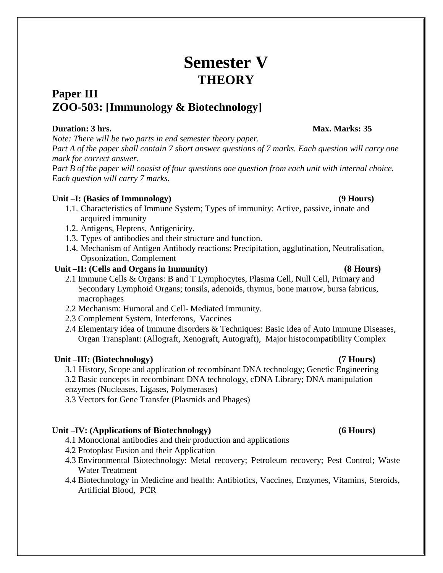# **Semester V THEORY**

## **Paper III ZOO-503: [Immunology & Biotechnology]**

### **Duration: 3 hrs.** Max. Marks: 35

*Note: There will be two parts in end semester theory paper. Part A of the paper shall contain 7 short answer questions of 7 marks. Each question will carry one mark for correct answer.*

*Part B of the paper will consist of four questions one question from each unit with internal choice. Each question will carry 7 marks.*

### **Unit –I: (Basics of Immunology) (9 Hours)**

- 1.1. Characteristics of Immune System; Types of immunity: Active, passive, innate and acquired immunity
- 1.2. Antigens, Heptens, Antigenicity.
- 1.3. Types of antibodies and their structure and function.
- 1.4. Mechanism of Antigen Antibody reactions: Precipitation, agglutination, Neutralisation, Opsonization, Complement

### **Unit –II: (Cells and Organs in Immunity) (8 Hours)**

- 2.1 Immune Cells & Organs: B and T Lymphocytes, Plasma Cell, Null Cell, Primary and Secondary Lymphoid Organs; tonsils, adenoids, thymus, bone marrow, bursa fabricus, macrophages
- 2.2 Mechanism: Humoral and Cell- Mediated Immunity.
- 2.3 Complement System, Interferons, Vaccines
- 2.4 Elementary idea of Immune disorders & Techniques: Basic Idea of Auto Immune Diseases, Organ Transplant: (Allograft, Xenograft, Autograft), Major histocompatibility Complex

### **Unit –III: (Biotechnology) (7 Hours)**

3.1 History, Scope and application of recombinant DNA technology; Genetic Engineering

3.2 Basic concepts in recombinant DNA technology, cDNA Library; DNA manipulation enzymes (Nucleases, Ligases, Polymerases)

3.3 Vectors for Gene Transfer (Plasmids and Phages)

### **Unit –IV: (Applications of Biotechnology) (6 Hours)**

- 4.1 Monoclonal antibodies and their production and applications
- 4.2 Protoplast Fusion and their Application
- 4.3 Environmental Biotechnology: Metal recovery; Petroleum recovery; Pest Control; Waste Water Treatment
- 4.4 Biotechnology in Medicine and health: Antibiotics, Vaccines, Enzymes, Vitamins, Steroids, Artificial Blood, PCR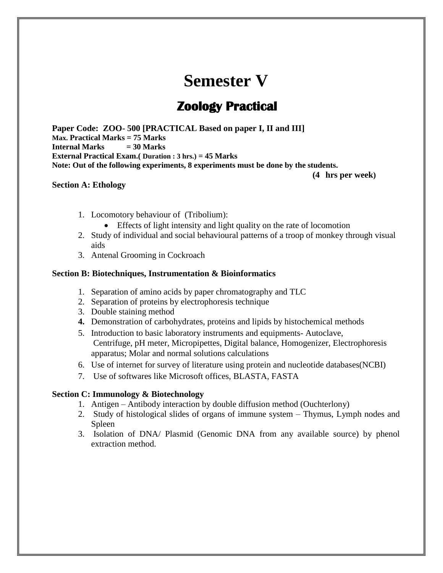# **Semester V**

## **Zoology Practical**

**Paper Code: ZOO- 500 [PRACTICAL Based on paper I, II and III] Max. Practical Marks = 75 Marks Internal Marks = 30 Marks External Practical Exam.( Duration : 3 hrs.) = 45 Marks Note: Out of the following experiments, 8 experiments must be done by the students.**

**(4 hrs per week)**

#### **Section A: Ethology**

- 1. Locomotory behaviour of (Tribolium):
	- Effects of light intensity and light quality on the rate of locomotion
- 2. Study of individual and social behavioural patterns of a troop of monkey through visual aids
- 3. Antenal Grooming in Cockroach

#### **Section B: Biotechniques, Instrumentation & Bioinformatics**

- 1. Separation of amino acids by paper chromatography and TLC
- 2. Separation of proteins by electrophoresis technique
- 3. Double staining method
- **4.** Demonstration of carbohydrates, proteins and lipids by histochemical methods
- 5. Introduction to basic laboratory instruments and equipments- Autoclave, Centrifuge, pH meter, Micropipettes, Digital balance, Homogenizer, Electrophoresis apparatus; Molar and normal solutions calculations
- 6. Use of internet for survey of literature using protein and nucleotide databases(NCBI)
- 7. Use of softwares like Microsoft offices, BLASTA, FASTA

#### **Section C: Immunology & Biotechnology**

- 1. Antigen Antibody interaction by double diffusion method (Ouchterlony)
- 2. Study of histological slides of organs of immune system Thymus, Lymph nodes and Spleen
- 3. Isolation of DNA/ Plasmid (Genomic DNA from any available source) by phenol extraction method.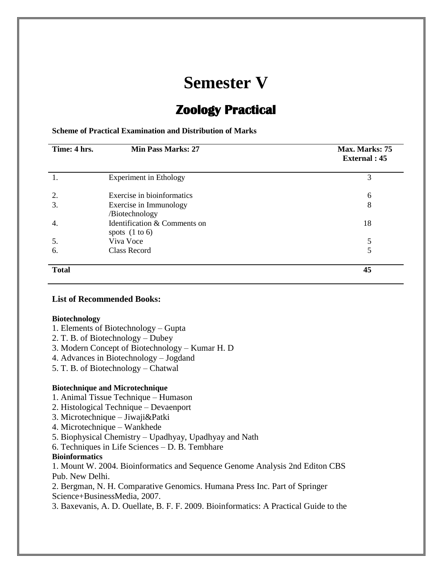# **Semester V**

# **Zoology Practical**

#### **Scheme of Practical Examination and Distribution of Marks**

| Time: 4 hrs. | <b>Min Pass Marks: 27</b>                        | Max. Marks: 75<br><b>External</b> : 45 |
|--------------|--------------------------------------------------|----------------------------------------|
|              | <b>Experiment in Ethology</b>                    | 3                                      |
| 2.           | Exercise in bioinformatics                       | 6                                      |
| 3.           | Exercise in Immunology                           | 8                                      |
|              | /Biotechnology                                   |                                        |
| 4.           | Identification & Comments on<br>spots $(1 to 6)$ | 18                                     |
| 5.           | Viva Voce                                        | 5                                      |
| 6.           | Class Record                                     | 5                                      |
| <b>Total</b> |                                                  | 45                                     |

#### **List of Recommended Books:**

#### **Biotechnology**

- 1. Elements of Biotechnology Gupta
- 2. T. B. of Biotechnology Dubey
- 3. Modern Concept of Biotechnology Kumar H. D
- 4. Advances in Biotechnology Jogdand
- 5. T. B. of Biotechnology Chatwal

#### **Biotechnique and Microtechnique**

- 1. Animal Tissue Technique Humason
- 2. Histological Technique Devaenport
- 3. Microtechnique Jiwaji&Patki
- 4. Microtechnique Wankhede
- 5. Biophysical Chemistry Upadhyay, Upadhyay and Nath
- 6. Techniques in Life Sciences D. B. Tembhare

#### **Bioinformatics**

1. Mount W. 2004. Bioinformatics and Sequence Genome Analysis 2nd Editon CBS Pub. New Delhi.

2. Bergman, N. H. Comparative Genomics. Humana Press Inc. Part of Springer Science+BusinessMedia, 2007.

3. Baxevanis, A. D. Ouellate, B. F. F. 2009. Bioinformatics: A Practical Guide to the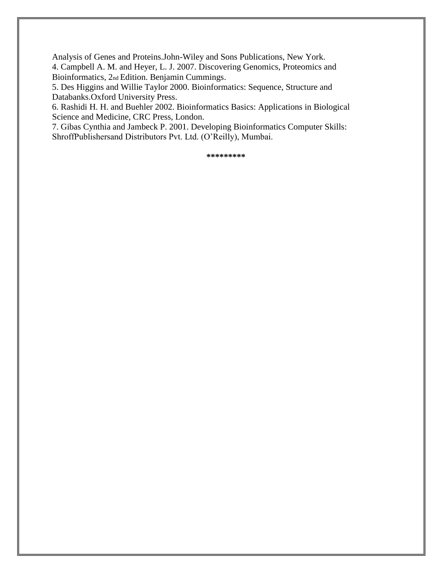Analysis of Genes and Proteins.John-Wiley and Sons Publications, New York.

4. Campbell A. M. and Heyer, L. J. 2007. Discovering Genomics, Proteomics and Bioinformatics, 2nd Edition. Benjamin Cummings.

5. Des Higgins and Willie Taylor 2000. Bioinformatics: Sequence, Structure and Databanks.Oxford University Press.

6. Rashidi H. H. and Buehler 2002. Bioinformatics Basics: Applications in Biological Science and Medicine, CRC Press, London.

7. Gibas Cynthia and Jambeck P. 2001. Developing Bioinformatics Computer Skills: ShroffPublishersand Distributors Pvt. Ltd. (O'Reilly), Mumbai.

**\*\*\*\*\*\*\*\*\***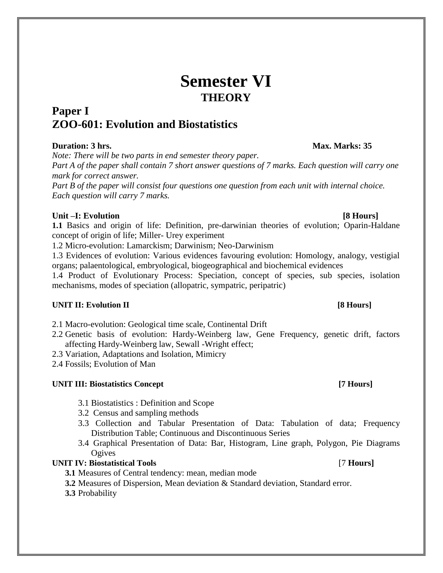# **Semester VI THEORY**

## **Paper I ZOO-601: Evolution and Biostatistics**

### **Duration: 3 hrs.** Max. Marks: 35

*Note: There will be two parts in end semester theory paper.*

*Part A of the paper shall contain 7 short answer questions of 7 marks. Each question will carry one mark for correct answer.*

*Part B of the paper will consist four questions one question from each unit with internal choice. Each question will carry 7 marks.*

### Unit –I: Evolution **and Evolution** *S* **Hours**

**1.1** Basics and origin of life: Definition, pre-darwinian theories of evolution; Oparin-Haldane concept of origin of life; Miller- Urey experiment

1.2 Micro-evolution: Lamarckism; Darwinism; Neo-Darwinism

1.3 Evidences of evolution: Various evidences favouring evolution: Homology, analogy, vestigial organs; palaentological, embryological, biogeographical and biochemical evidences

1.4 Product of Evolutionary Process: Speciation, concept of species, sub species, isolation mechanisms, modes of speciation (allopatric, sympatric, peripatric)

### **UNIT II: Evolution II [8 Hours]**

2.1 Macro-evolution: Geological time scale, Continental Drift

- 2.2 Genetic basis of evolution: Hardy-Weinberg law, Gene Frequency, genetic drift, factors affecting Hardy-Weinberg law, Sewall -Wright effect;
- 2.3 Variation, Adaptations and Isolation, Mimicry
- 2.4 Fossils; Evolution of Man

### **UNIT III: Biostatistics Concept [7 Hours]**

- 3.1 Biostatistics : Definition and Scope
- 3.2 Census and sampling methods
- 3.3 Collection and Tabular Presentation of Data: Tabulation of data; Frequency Distribution Table; Continuous and Discontinuous Series
- 3.4 Graphical Presentation of Data: Bar, Histogram, Line graph, Polygon, Pie Diagrams **Ogives**

### **UNIT IV: Biostatistical Tools** [7 **Hours]**

**3.1** Measures of Central tendency: mean, median mode

**3.2** Measures of Dispersion, Mean deviation & Standard deviation, Standard error.

**3.3** Probability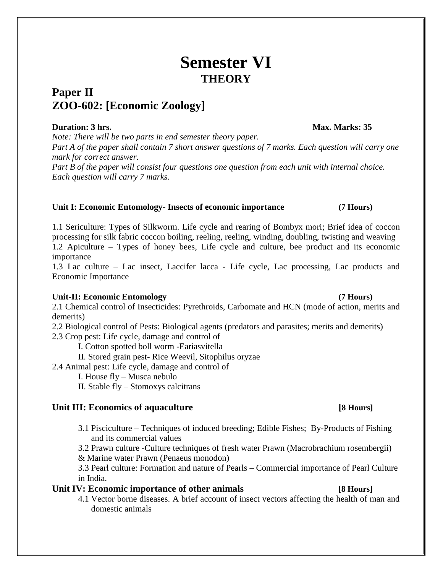# **Semester VI THEORY**

## **Paper II ZOO-602: [Economic Zoology]**

### **Duration: 3 hrs.** Max. Marks: 35

*Note: There will be two parts in end semester theory paper. Part A of the paper shall contain 7 short answer questions of 7 marks. Each question will carry one mark for correct answer.*

*Part B of the paper will consist four questions one question from each unit with internal choice. Each question will carry 7 marks.*

### **Unit I: Economic Entomology- Insects of economic importance (7 Hours)**

1.1 Sericulture: Types of Silkworm. Life cycle and rearing of Bombyx mori; Brief idea of coccon processing for silk fabric coccon boiling, reeling, reeling, winding, doubling, twisting and weaving 1.2 Apiculture – Types of honey bees, Life cycle and culture, bee product and its economic importance

1.3 Lac culture – Lac insect, Laccifer lacca - Life cycle, Lac processing, Lac products and Economic Importance

### **Unit-II: Economic Entomology (7 Hours)**

2.1 Chemical control of Insecticides: Pyrethroids, Carbomate and HCN (mode of action, merits and demerits)

2.2 Biological control of Pests: Biological agents (predators and parasites; merits and demerits)

2.3 Crop pest: Life cycle, damage and control of

I. Cotton spotted boll worm -Eariasvitella

II. Stored grain pest- Rice Weevil, Sitophilus oryzae

2.4 Animal pest: Life cycle, damage and control of

- I. House fly Musca nebulo
- II. Stable fly Stomoxys calcitrans

### Unit III: Economics of aquaculture **and its activity of**  $[8 \text{ Hours}]$

3.1 Pisciculture – Techniques of induced breeding; Edible Fishes; By-Products of Fishing and its commercial values

3.2 Prawn culture -Culture techniques of fresh water Prawn (Macrobrachium rosembergii) & Marine water Prawn (Penaeus monodon)

3.3 Pearl culture: Formation and nature of Pearls – Commercial importance of Pearl Culture in India.

### **Unit IV: Economic importance of other animals [8 Hours]**

4.1 Vector borne diseases. A brief account of insect vectors affecting the health of man and domestic animals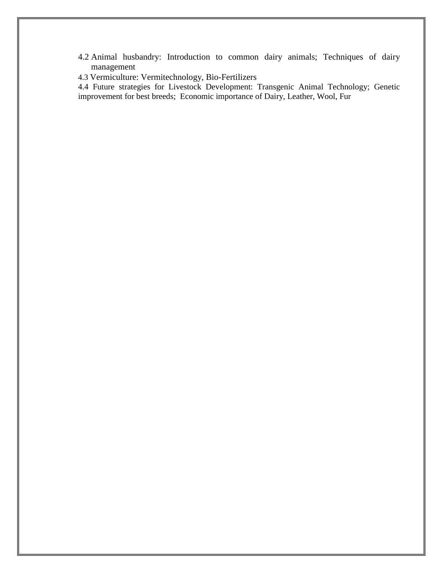- 4.2 Animal husbandry: Introduction to common dairy animals; Techniques of dairy management
- 4.3 Vermiculture: Vermitechnology, Bio-Fertilizers

4.4 Future strategies for Livestock Development: Transgenic Animal Technology; Genetic improvement for best breeds; Economic importance of Dairy, Leather, Wool, Fur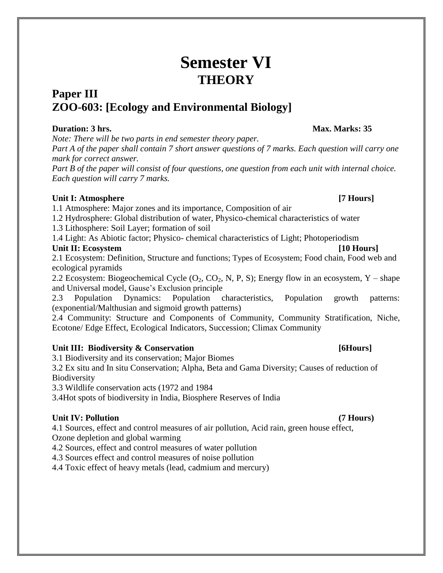# **Semester VI THEORY**

## **Paper III ZOO-603: [Ecology and Environmental Biology]**

### **Duration: 3 hrs.** Max. Marks: 35

*Note: There will be two parts in end semester theory paper. Part A of the paper shall contain 7 short answer questions of 7 marks. Each question will carry one* 

*mark for correct answer.*

*Part B of the paper will consist of four questions, one question from each unit with internal choice. Each question will carry 7 marks.*

### **Unit I: Atmosphere [7 Hours]**

1.1 Atmosphere: Major zones and its importance, Composition of air

1.2 Hydrosphere: Global distribution of water, Physico-chemical characteristics of water

1.3 Lithosphere: Soil Layer; formation of soil

1.4 Light: As Abiotic factor; Physico- chemical characteristics of Light; Photoperiodism

### Unit II: Ecosystem **III: Example 2018 III: Example 2018 III: Example 2018 III: Equation III: Equation III: Equation III: Equation III: Equation III: Equation III: Equation III: Equation III: Equation**

2.1 Ecosystem: Definition, Structure and functions; Types of Ecosystem; Food chain, Food web and ecological pyramids

2.2 Ecosystem: Biogeochemical Cycle  $(O_2, CO_2, N, P, S)$ ; Energy flow in an ecosystem, Y – shape and Universal model, Gause's Exclusion principle

2.3 Population Dynamics: Population characteristics, Population growth patterns: (exponential/Malthusian and sigmoid growth patterns)

2.4 Community: Structure and Components of Community, Community Stratification, Niche, Ecotone/ Edge Effect, Ecological Indicators, Succession; Climax Community

## Unit III: Biodiversity & Conservation **by the Conservation** (6Hours)

3.1 Biodiversity and its conservation; Major Biomes

3.2 Ex situ and In situ Conservation; Alpha, Beta and Gama Diversity; Causes of reduction of **Biodiversity** 

3.3 Wildlife conservation acts (1972 and 1984

3.4Hot spots of biodiversity in India, Biosphere Reserves of India

## **Unit IV: Pollution (7 Hours)**

4.1 Sources, effect and control measures of air pollution, Acid rain, green house effect, Ozone depletion and global warming

4.2 Sources, effect and control measures of water pollution

4.3 Sources effect and control measures of noise pollution

4.4 Toxic effect of heavy metals (lead, cadmium and mercury)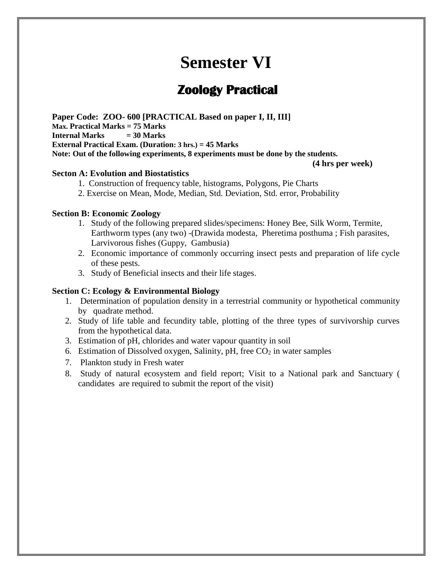# **Semester VI**

## **Zoology Practical**

**Paper Code: ZOO- 600 [PRACTICAL Based on paper I, II, III] Max. Practical Marks = 75 Marks Internal Marks = 30 Marks External Practical Exam. (Duration: 3 hrs.) = 45 Marks Note: Out of the following experiments, 8 experiments must be done by the students.**

**(4 hrs per week)**

#### **Secton A: Evolution and Biostatistics**

- 1. Construction of frequency table, histograms, Polygons, Pie Charts
- 2. Exercise on Mean, Mode, Median, Std. Deviation, Std. error, Probability

#### **Section B: Economic Zoology**

- 1. Study of the following prepared slides/specimens: Honey Bee, Silk Worm, Termite, Earthworm types (any two) -(Drawida modesta, Pheretima posthuma ; Fish parasites, Larvivorous fishes (Guppy, Gambusia)
- 2. Economic importance of commonly occurring insect pests and preparation of life cycle of these pests.
- 3. Study of Beneficial insects and their life stages.

#### **Section C: Ecology & Environmental Biology**

- 1. Determination of population density in a terrestrial community or hypothetical community by quadrate method.
- 2. Study of life table and fecundity table, plotting of the three types of survivorship curves from the hypothetical data.
- 3. Estimation of pH, chlorides and water vapour quantity in soil
- 6. Estimation of Dissolved oxygen, Salinity, pH, free  $CO<sub>2</sub>$  in water samples
- 7. Plankton study in Fresh water
- 8. Study of natural ecosystem and field report; Visit to a National park and Sanctuary ( candidates are required to submit the report of the visit)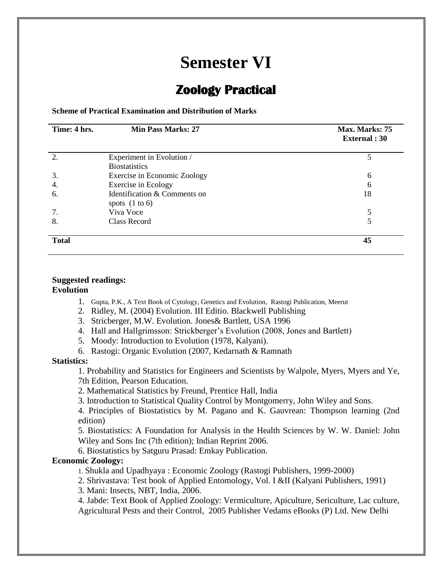# **Semester VI**

## **Zoology Practical**

**Scheme of Practical Examination and Distribution of Marks**

| Time: 4 hrs. | <b>Min Pass Marks: 27</b>                        | Max. Marks: 75<br><b>External</b> : 30 |
|--------------|--------------------------------------------------|----------------------------------------|
| 2.           | Experiment in Evolution /                        |                                        |
|              | <b>Biostatistics</b>                             |                                        |
| 3.           | Exercise in Economic Zoology                     | 6                                      |
| 4.           | Exercise in Ecology                              | 6                                      |
| 6.           | Identification & Comments on<br>spots $(1 to 6)$ | 18                                     |
| 7.           | Viva Voce                                        |                                        |
| 8.           | Class Record                                     |                                        |
| <b>Total</b> |                                                  | 45                                     |

#### **Suggested readings: Evolution**

- 1. Gupta, P.K., A Text Book of Cytology, Genetics and Evolution, Rastogi Publication, Meerut
- 2. Ridley, M. (2004) Evolution. III Editio. Blackwell Publishing
- 3. Stricberger, M.W. Evolution. Jones& Bartlett, USA 1996
- 4. Hall and Hallgrimsson: Strickberger's Evolution (2008, Jones and Bartlett)
- 5. Moody: Introduction to Evolution (1978, Kalyani).
- 6. Rastogi: Organic Evolution (2007, Kedarnath & Ramnath

#### **Statistics:**

1. Probability and Statistics for Engineers and Scientists by Walpole, Myers, Myers and Ye, 7th Edition, Pearson Education.

2. Mathematical Statistics by Freund, Prentice Hall, India

3. Introduction to Statistical Quality Control by Montgomerry, John Wiley and Sons.

4. Principles of Biostatistics by M. Pagano and K. Gauvrean: Thompson learning (2nd edition)

5. Biostatistics: A Foundation for Analysis in the Health Sciences by W. W. Daniel: John Wiley and Sons Inc (7th edition); Indian Reprint 2006.

6. Biostatistics by Satguru Prasad: Emkay Publication.

#### **Economic Zoology:**

1. Shukla and Upadhyaya : Economic Zoology (Rastogi Publishers, 1999-2000)

2. Shrivastava: Test book of Applied Entomology, Vol. I &II (Kalyani Publishers, 1991)

3. Mani: Insects, NBT, India, 2006.

4. Jabde: Text Book of Applied Zoology: Vermiculture, Apiculture, Sericulture, Lac culture, Agricultural Pests and their Control, 2005 Publisher Vedams eBooks (P) Ltd. New Delhi